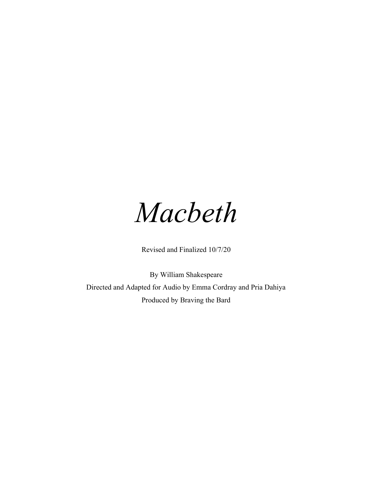

Revised and Finalized 10/7/20

By William Shakespeare Directed and Adapted for Audio by Emma Cordray and Pria Dahiya Produced by Braving the Bard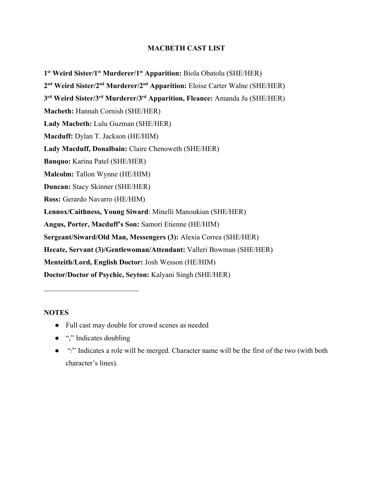## **MACBETH CAST LIST**

**1 st Weird Sister/1st Murderer/1st Apparition:** Biola Obatolu (SHE/HER) **2 nd Weird Sister/2nd Murderer/2nd Apparition:** Eloise Carter Walne (SHE/HER) **3 rd Weird Sister/3rd Murderer/3rd Apparition, Fleance:** Amanda Ju (SHE/HER) **Macbeth:** Hannah Cornish (SHE/HER) **Lady Macbeth:** Lulu Guzman (SHE/HER) **Macduff:** Dylan T. Jackson (HE/HIM) **Lady Macduff, Donalbain:** Claire Chenoweth (SHE/HER) **Banquo:** Karina Patel (SHE/HER) **Malcolm:** Tallon Wynne (HE/HIM) **Duncan:** Stacy Skinner (SHE/HER) **Ross:** Gerardo Navarro (HE/HIM) **Lennox/Caithness, Young Siward**: Minelli Manoukian (SHE/HER) **Angus, Porter, Macduff's Son:** Samori Etienne (HE/HIM) **Sergeant/Siward/Old Man, Messengers (3):** Alexia Correa (SHE/HER) **Hecate, Servant (3)/Gentlewoman/Attendant:** Valleri Bowman (SHE/HER) **Menteith/Lord, English Doctor:** Josh Wesson (HE/HIM) **Doctor/Doctor of Psychic, Seyton:** Kalyani Singh (SHE/HER)

## **NOTES**

- Full cast may double for crowd scenes as needed
- "," Indicates doubling

 $\mathcal{L}_\text{max}$  , where  $\mathcal{L}_\text{max}$  and  $\mathcal{L}_\text{max}$ 

• "/" Indicates a role will be merged. Character name will be the first of the two (with both character's lines).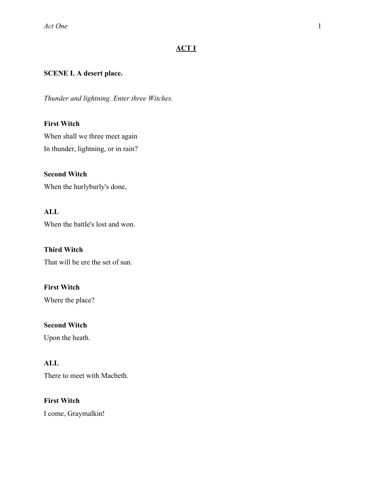## **ACT I**

## **SCENE I. A desert place.**

*Thunder and lightning. Enter three Witches.*

## **First Witch**

When shall we three meet again In thunder, lightning, or in rain?

**Second Witch** When the hurlyburly's done,

## **ALL**

When the battle's lost and won.

**Third Witch** That will be ere the set of sun.

## **First Witch**

Where the place?

**Second Witch** Upon the heath.

## **ALL**

There to meet with Macbeth.

**First Witch** I come, Graymalkin!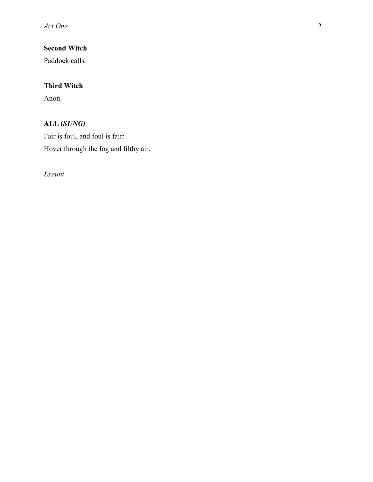**Second Witch**

Paddock calls.

## **Third Witch**

Anon.

## **ALL (***SUNG)*

Fair is foul, and foul is fair: Hover through the fog and filthy air.

*Exeunt*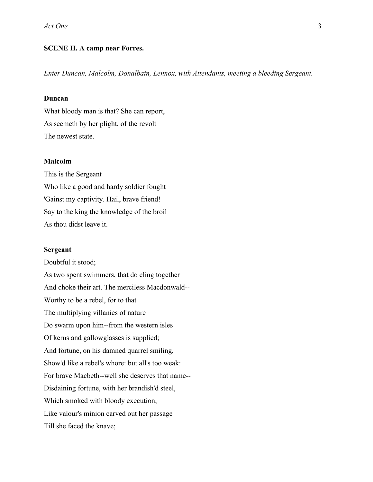### **SCENE II. A camp near Forres.**

*Enter Duncan, Malcolm, Donalbain, Lennox, with Attendants, meeting a bleeding Sergeant.*

## **Duncan**

What bloody man is that? She can report, As seemeth by her plight, of the revolt The newest state.

### **Malcolm**

This is the Sergeant Who like a good and hardy soldier fought 'Gainst my captivity. Hail, brave friend! Say to the king the knowledge of the broil As thou didst leave it.

### **Sergeant**

Doubtful it stood; As two spent swimmers, that do cling together And choke their art. The merciless Macdonwald-- Worthy to be a rebel, for to that The multiplying villanies of nature Do swarm upon him--from the western isles Of kerns and gallowglasses is supplied; And fortune, on his damned quarrel smiling, Show'd like a rebel's whore: but all's too weak: For brave Macbeth--well she deserves that name-- Disdaining fortune, with her brandish'd steel, Which smoked with bloody execution, Like valour's minion carved out her passage Till she faced the knave;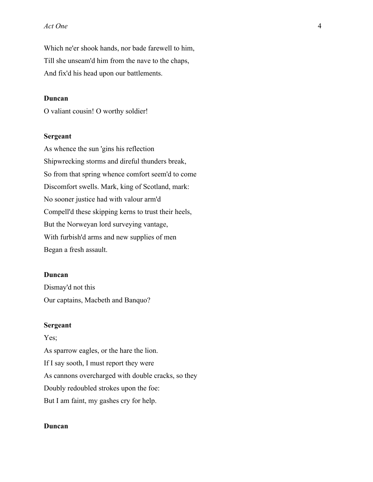Which ne'er shook hands, nor bade farewell to him, Till she unseam'd him from the nave to the chaps, And fix'd his head upon our battlements.

### **Duncan**

O valiant cousin! O worthy soldier!

### **Sergeant**

As whence the sun 'gins his reflection Shipwrecking storms and direful thunders break, So from that spring whence comfort seem'd to come Discomfort swells. Mark, king of Scotland, mark: No sooner justice had with valour arm'd Compell'd these skipping kerns to trust their heels, But the Norweyan lord surveying vantage, With furbish'd arms and new supplies of men Began a fresh assault.

### **Duncan**

Dismay'd not this Our captains, Macbeth and Banquo?

### **Sergeant**

Yes; As sparrow eagles, or the hare the lion. If I say sooth, I must report they were As cannons overcharged with double cracks, so they Doubly redoubled strokes upon the foe: But I am faint, my gashes cry for help.

### **Duncan**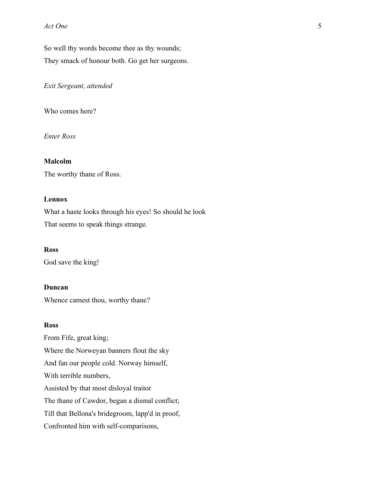So well thy words become thee as thy wounds; They smack of honour both. Go get her surgeons.

*Exit Sergeant, attended*

Who comes here?

*Enter Ross*

### **Malcolm**

The worthy thane of Ross.

## **Lennox**

What a haste looks through his eyes! So should he look That seems to speak things strange.

### **Ross**

God save the king!

### **Duncan**

Whence camest thou, worthy thane?

### **Ross**

From Fife, great king; Where the Norweyan banners flout the sky And fan our people cold. Norway himself, With terrible numbers, Assisted by that most disloyal traitor The thane of Cawdor, began a dismal conflict; Till that Bellona's bridegroom, lapp'd in proof, Confronted him with self-comparisons,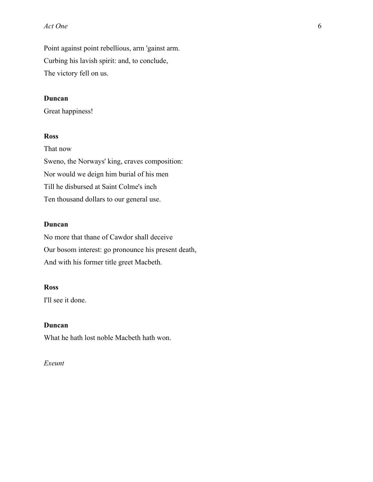Point against point rebellious, arm 'gainst arm. Curbing his lavish spirit: and, to conclude, The victory fell on us.

## **Duncan**

Great happiness!

## **Ross**

That now Sweno, the Norways' king, craves composition: Nor would we deign him burial of his men Till he disbursed at Saint Colme's inch Ten thousand dollars to our general use.

## **Duncan**

No more that thane of Cawdor shall deceive Our bosom interest: go pronounce his present death, And with his former title greet Macbeth.

## **Ross**

I'll see it done.

### **Duncan**

What he hath lost noble Macbeth hath won.

## *Exeunt*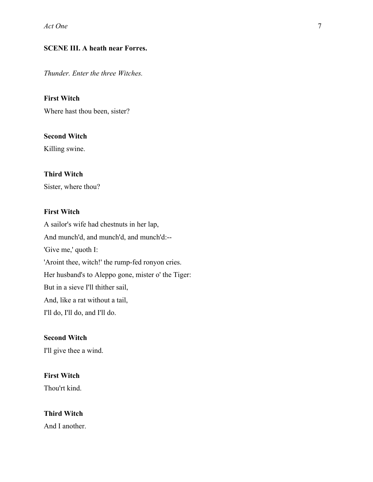## **SCENE III. A heath near Forres.**

*Thunder. Enter the three Witches.*

### **First Witch**

Where hast thou been, sister?

### **Second Witch**

Killing swine.

## **Third Witch**

Sister, where thou?

## **First Witch**

A sailor's wife had chestnuts in her lap, And munch'd, and munch'd, and munch'd:-- 'Give me,' quoth I: 'Aroint thee, witch!' the rump-fed ronyon cries. Her husband's to Aleppo gone, mister o' the Tiger: But in a sieve I'll thither sail, And, like a rat without a tail, I'll do, I'll do, and I'll do.

### **Second Witch**

I'll give thee a wind.

## **First Witch**

Thou'rt kind.

## **Third Witch**

And I another.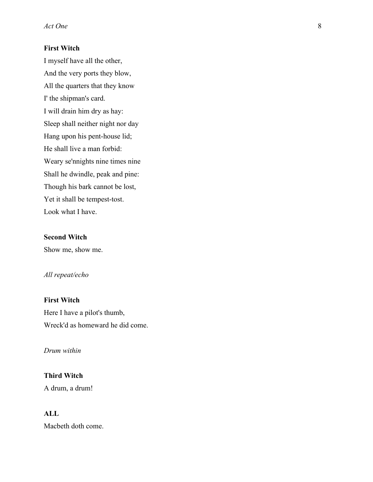## **First Witch**

I myself have all the other, And the very ports they blow, All the quarters that they know I' the shipman's card. I will drain him dry as hay: Sleep shall neither night nor day Hang upon his pent-house lid; He shall live a man forbid: Weary se'nnights nine times nine Shall he dwindle, peak and pine: Though his bark cannot be lost, Yet it shall be tempest-tost. Look what I have.

## **Second Witch**

Show me, show me.

## *All repeat/echo*

# **First Witch**

Here I have a pilot's thumb, Wreck'd as homeward he did come.

## *Drum within*

## **Third Witch**

A drum, a drum!

## **ALL**

Macbeth doth come.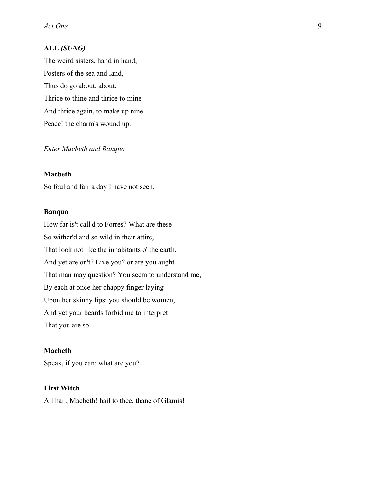## **ALL** *(SUNG)*

The weird sisters, hand in hand, Posters of the sea and land, Thus do go about, about: Thrice to thine and thrice to mine And thrice again, to make up nine. Peace! the charm's wound up.

## *Enter Macbeth and Banquo*

### **Macbeth**

So foul and fair a day I have not seen.

### **Banquo**

How far is't call'd to Forres? What are these So wither'd and so wild in their attire, That look not like the inhabitants o' the earth, And yet are on't? Live you? or are you aught That man may question? You seem to understand me, By each at once her chappy finger laying Upon her skinny lips: you should be women, And yet your beards forbid me to interpret That you are so.

### **Macbeth**

Speak, if you can: what are you?

## **First Witch**

All hail, Macbeth! hail to thee, thane of Glamis!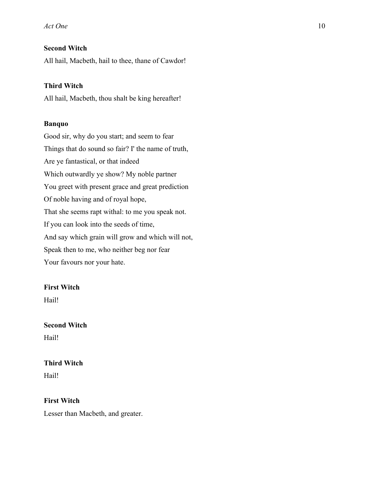## **Second Witch**

All hail, Macbeth, hail to thee, thane of Cawdor!

## **Third Witch**

All hail, Macbeth, thou shalt be king hereafter!

### **Banquo**

Good sir, why do you start; and seem to fear Things that do sound so fair? I' the name of truth, Are ye fantastical, or that indeed Which outwardly ye show? My noble partner You greet with present grace and great prediction Of noble having and of royal hope, That she seems rapt withal: to me you speak not. If you can look into the seeds of time, And say which grain will grow and which will not, Speak then to me, who neither beg nor fear Your favours nor your hate.

## **First Witch**

Hail!

## **Second Witch**

Hail!

## **Third Witch**

Hail!

## **First Witch**

Lesser than Macbeth, and greater.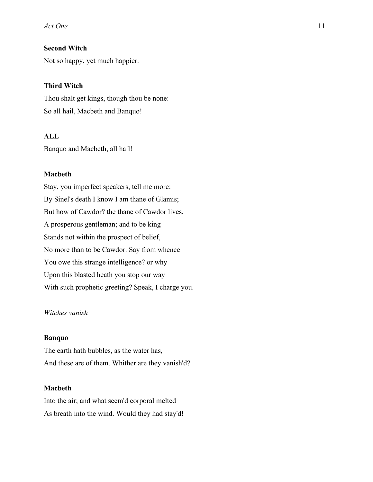## **Second Witch**

Not so happy, yet much happier.

#### **Third Witch**

Thou shalt get kings, though thou be none: So all hail, Macbeth and Banquo!

## **ALL**

Banquo and Macbeth, all hail!

### **Macbeth**

Stay, you imperfect speakers, tell me more: By Sinel's death I know I am thane of Glamis; But how of Cawdor? the thane of Cawdor lives, A prosperous gentleman; and to be king Stands not within the prospect of belief, No more than to be Cawdor. Say from whence You owe this strange intelligence? or why Upon this blasted heath you stop our way With such prophetic greeting? Speak, I charge you.

## *Witches vanish*

### **Banquo**

The earth hath bubbles, as the water has, And these are of them. Whither are they vanish'd?

### **Macbeth**

Into the air; and what seem'd corporal melted As breath into the wind. Would they had stay'd!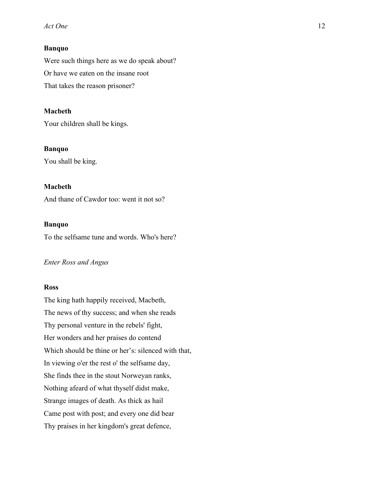## **Banquo**

Were such things here as we do speak about? Or have we eaten on the insane root That takes the reason prisoner?

## **Macbeth**

Your children shall be kings.

### **Banquo**

You shall be king.

## **Macbeth**

And thane of Cawdor too: went it not so?

## **Banquo**

To the selfsame tune and words. Who's here?

### *Enter Ross and Angus*

### **Ross**

The king hath happily received, Macbeth, The news of thy success; and when she reads Thy personal venture in the rebels' fight, Her wonders and her praises do contend Which should be thine or her's: silenced with that, In viewing o'er the rest o' the selfsame day, She finds thee in the stout Norweyan ranks, Nothing afeard of what thyself didst make, Strange images of death. As thick as hail Came post with post; and every one did bear Thy praises in her kingdom's great defence,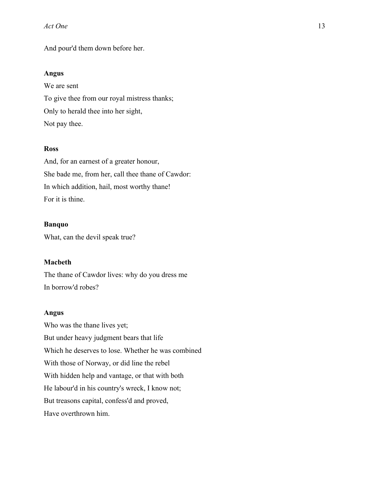And pour'd them down before her.

## **Angus**

We are sent To give thee from our royal mistress thanks; Only to herald thee into her sight, Not pay thee.

## **Ross**

And, for an earnest of a greater honour, She bade me, from her, call thee thane of Cawdor: In which addition, hail, most worthy thane! For it is thine.

## **Banquo**

What, can the devil speak true?

## **Macbeth**

The thane of Cawdor lives: why do you dress me In borrow'd robes?

### **Angus**

Who was the thane lives yet; But under heavy judgment bears that life Which he deserves to lose. Whether he was combined With those of Norway, or did line the rebel With hidden help and vantage, or that with both He labour'd in his country's wreck, I know not; But treasons capital, confess'd and proved, Have overthrown him.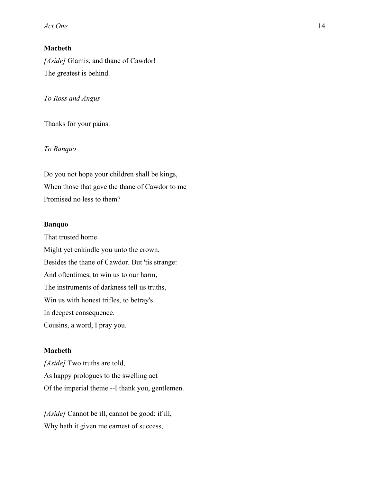## **Macbeth**

*[Aside]* Glamis, and thane of Cawdor! The greatest is behind.

*To Ross and Angus*

Thanks for your pains.

## *To Banquo*

Do you not hope your children shall be kings, When those that gave the thane of Cawdor to me Promised no less to them?

## **Banquo**

That trusted home Might yet enkindle you unto the crown, Besides the thane of Cawdor. But 'tis strange: And oftentimes, to win us to our harm, The instruments of darkness tell us truths, Win us with honest trifles, to betray's In deepest consequence. Cousins, a word, I pray you.

### **Macbeth**

*[Aside]* Two truths are told, As happy prologues to the swelling act Of the imperial theme.--I thank you, gentlemen.

*[Aside]* Cannot be ill, cannot be good: if ill, Why hath it given me earnest of success,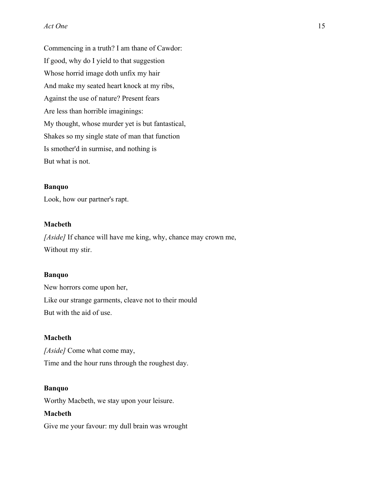Commencing in a truth? I am thane of Cawdor: If good, why do I yield to that suggestion Whose horrid image doth unfix my hair And make my seated heart knock at my ribs, Against the use of nature? Present fears Are less than horrible imaginings: My thought, whose murder yet is but fantastical, Shakes so my single state of man that function Is smother'd in surmise, and nothing is But what is not.

### **Banquo**

Look, how our partner's rapt.

## **Macbeth**

*[Aside]* If chance will have me king, why, chance may crown me, Without my stir.

### **Banquo**

New horrors come upon her, Like our strange garments, cleave not to their mould But with the aid of use.

### **Macbeth**

*[Aside]* Come what come may, Time and the hour runs through the roughest day.

### **Banquo**

Worthy Macbeth, we stay upon your leisure.

### **Macbeth**

Give me your favour: my dull brain was wrought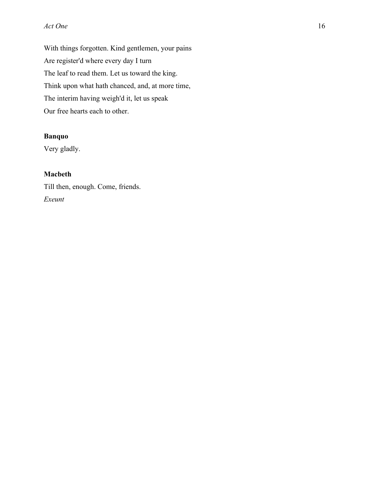With things forgotten. Kind gentlemen, your pains Are register'd where every day I turn The leaf to read them. Let us toward the king. Think upon what hath chanced, and, at more time, The interim having weigh'd it, let us speak Our free hearts each to other.

## **Banquo**

Very gladly.

## **Macbeth**

Till then, enough. Come, friends. *Exeunt*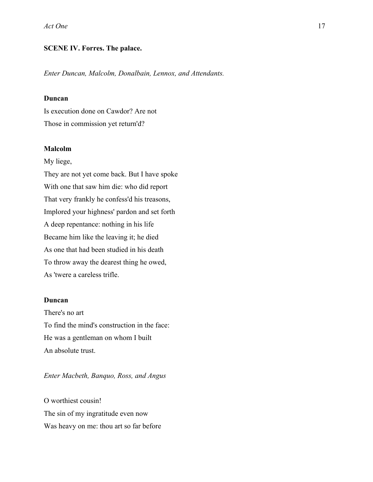### **SCENE IV. Forres. The palace.**

*Enter Duncan, Malcolm, Donalbain, Lennox, and Attendants.*

## **Duncan**

Is execution done on Cawdor? Are not Those in commission yet return'd?

### **Malcolm**

My liege,

They are not yet come back. But I have spoke With one that saw him die: who did report That very frankly he confess'd his treasons, Implored your highness' pardon and set forth A deep repentance: nothing in his life Became him like the leaving it; he died As one that had been studied in his death To throw away the dearest thing he owed, As 'twere a careless trifle.

### **Duncan**

There's no art To find the mind's construction in the face: He was a gentleman on whom I built An absolute trust.

*Enter Macbeth, Banquo, Ross, and Angus*

O worthiest cousin! The sin of my ingratitude even now Was heavy on me: thou art so far before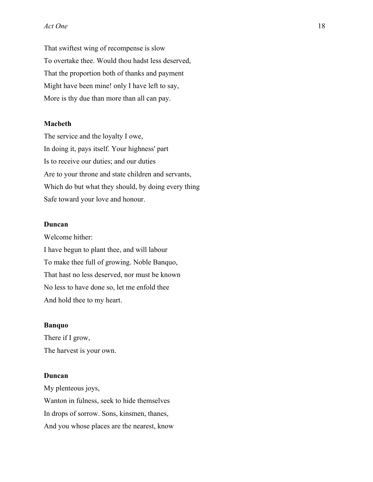That swiftest wing of recompense is slow To overtake thee. Would thou hadst less deserved, That the proportion both of thanks and payment Might have been mine! only I have left to say, More is thy due than more than all can pay.

### **Macbeth**

The service and the loyalty I owe, In doing it, pays itself. Your highness' part Is to receive our duties; and our duties Are to your throne and state children and servants, Which do but what they should, by doing every thing Safe toward your love and honour.

### **Duncan**

Welcome hither: I have begun to plant thee, and will labour To make thee full of growing. Noble Banquo, That hast no less deserved, nor must be known No less to have done so, let me enfold thee And hold thee to my heart.

### **Banquo**

There if I grow, The harvest is your own.

### **Duncan**

My plenteous joys, Wanton in fulness, seek to hide themselves In drops of sorrow. Sons, kinsmen, thanes, And you whose places are the nearest, know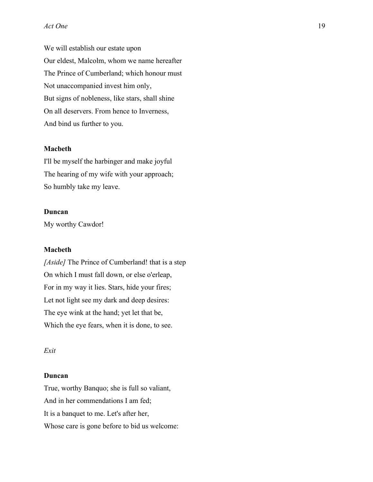We will establish our estate upon Our eldest, Malcolm, whom we name hereafter The Prince of Cumberland; which honour must Not unaccompanied invest him only, But signs of nobleness, like stars, shall shine On all deservers. From hence to Inverness, And bind us further to you.

## **Macbeth**

I'll be myself the harbinger and make joyful The hearing of my wife with your approach; So humbly take my leave.

### **Duncan**

My worthy Cawdor!

#### **Macbeth**

*[Aside]* The Prince of Cumberland! that is a step On which I must fall down, or else o'erleap, For in my way it lies. Stars, hide your fires; Let not light see my dark and deep desires: The eye wink at the hand; yet let that be, Which the eye fears, when it is done, to see.

#### *Exit*

### **Duncan**

True, worthy Banquo; she is full so valiant, And in her commendations I am fed; It is a banquet to me. Let's after her, Whose care is gone before to bid us welcome: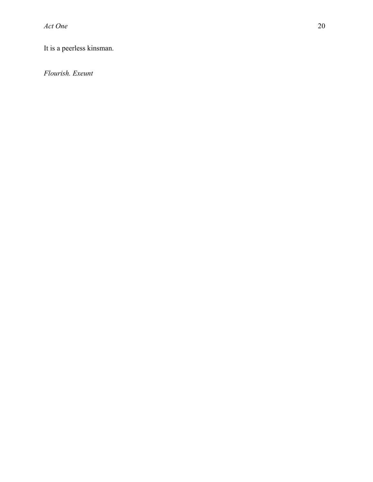It is a peerless kinsman.

*Flourish. Exeunt*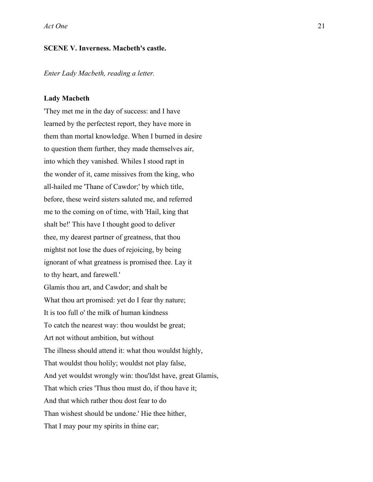### **SCENE V. Inverness. Macbeth's castle.**

*Enter Lady Macbeth, reading a letter.*

#### **Lady Macbeth**

'They met me in the day of success: and I have learned by the perfectest report, they have more in them than mortal knowledge. When I burned in desire to question them further, they made themselves air, into which they vanished. Whiles I stood rapt in the wonder of it, came missives from the king, who all-hailed me 'Thane of Cawdor;' by which title, before, these weird sisters saluted me, and referred me to the coming on of time, with 'Hail, king that shalt be!' This have I thought good to deliver thee, my dearest partner of greatness, that thou mightst not lose the dues of rejoicing, by being ignorant of what greatness is promised thee. Lay it to thy heart, and farewell.' Glamis thou art, and Cawdor; and shalt be What thou art promised: yet do I fear thy nature; It is too full o' the milk of human kindness To catch the nearest way: thou wouldst be great; Art not without ambition, but without The illness should attend it: what thou wouldst highly, That wouldst thou holily; wouldst not play false, And yet wouldst wrongly win: thou'ldst have, great Glamis, That which cries 'Thus thou must do, if thou have it; And that which rather thou dost fear to do Than wishest should be undone.' Hie thee hither, That I may pour my spirits in thine ear;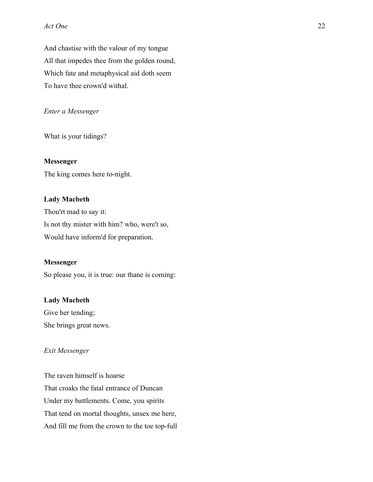And chastise with the valour of my tongue All that impedes thee from the golden round, Which fate and metaphysical aid doth seem To have thee crown'd withal.

## *Enter a Messenger*

What is your tidings?

### **Messenger**

The king comes here to-night.

#### **Lady Macbeth**

Thou'rt mad to say it: Is not thy mister with him? who, were't so, Would have inform'd for preparation.

### **Messenger**

So please you, it is true: our thane is coming:

### **Lady Macbeth**

Give her tending; She brings great news.

### *Exit Messenger*

The raven himself is hoarse That croaks the fatal entrance of Duncan Under my battlements. Come, you spirits That tend on mortal thoughts, unsex me here, And fill me from the crown to the toe top-full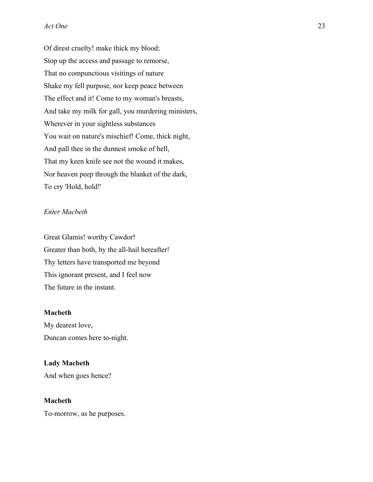Of direst cruelty! make thick my blood; Stop up the access and passage to remorse, That no compunctious visitings of nature Shake my fell purpose, nor keep peace between The effect and it! Come to my woman's breasts, And take my milk for gall, you murdering ministers, Wherever in your sightless substances You wait on nature's mischief! Come, thick night, And pall thee in the dunnest smoke of hell, That my keen knife see not the wound it makes, Nor heaven peep through the blanket of the dark, To cry 'Hold, hold!'

## *Enter Macbeth*

Great Glamis! worthy Cawdor! Greater than both, by the all-hail hereafter! Thy letters have transported me beyond This ignorant present, and I feel now The future in the instant.

## **Macbeth**

My dearest love, Duncan comes here to-night.

## **Lady Macbeth** And when goes hence?

### **Macbeth**

To-morrow, as he purposes.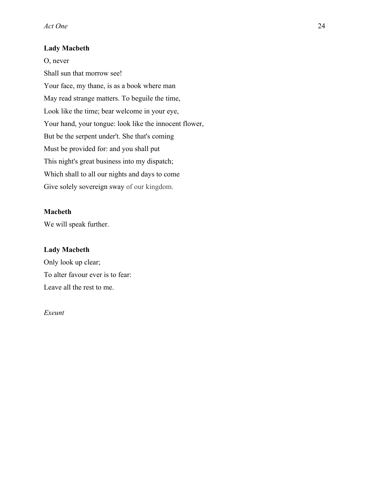## **Lady Macbeth**

O, never Shall sun that morrow see! Your face, my thane, is as a book where man May read strange matters. To beguile the time, Look like the time; bear welcome in your eye, Your hand, your tongue: look like the innocent flower, But be the serpent under't. She that's coming Must be provided for: and you shall put This night's great business into my dispatch; Which shall to all our nights and days to come Give solely sovereign sway of our kingdom.

## **Macbeth**

We will speak further.

## **Lady Macbeth**

Only look up clear; To alter favour ever is to fear: Leave all the rest to me.

## *Exeunt*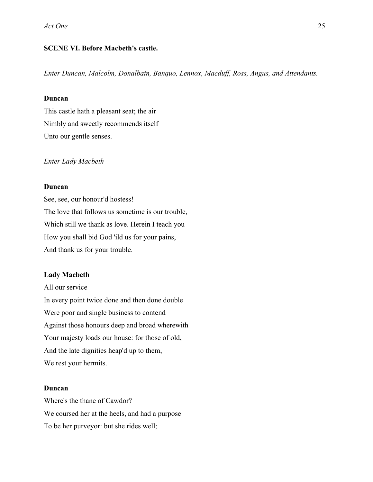## **SCENE VI. Before Macbeth's castle.**

*Enter Duncan, Malcolm, Donalbain, Banquo, Lennox, Macduff, Ross, Angus, and Attendants.*

### **Duncan**

This castle hath a pleasant seat; the air Nimbly and sweetly recommends itself Unto our gentle senses.

*Enter Lady Macbeth*

#### **Duncan**

See, see, our honour'd hostess! The love that follows us sometime is our trouble, Which still we thank as love. Herein I teach you How you shall bid God 'ild us for your pains, And thank us for your trouble.

### **Lady Macbeth**

All our service In every point twice done and then done double Were poor and single business to contend Against those honours deep and broad wherewith Your majesty loads our house: for those of old, And the late dignities heap'd up to them, We rest your hermits.

## **Duncan**

Where's the thane of Cawdor? We coursed her at the heels, and had a purpose To be her purveyor: but she rides well;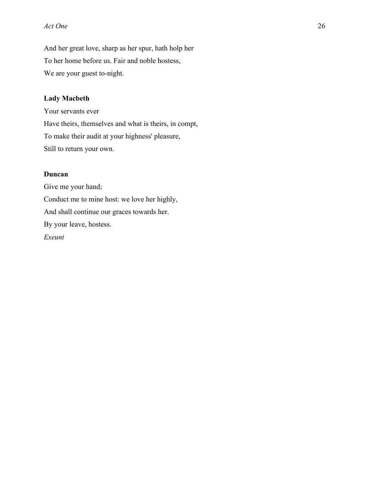And her great love, sharp as her spur, hath holp her To her home before us. Fair and noble hostess, We are your guest to-night.

## **Lady Macbeth**

Your servants ever Have theirs, themselves and what is theirs, in compt, To make their audit at your highness' pleasure, Still to return your own.

### **Duncan**

Give me your hand; Conduct me to mine host: we love her highly, And shall continue our graces towards her. By your leave, hostess. *Exeunt*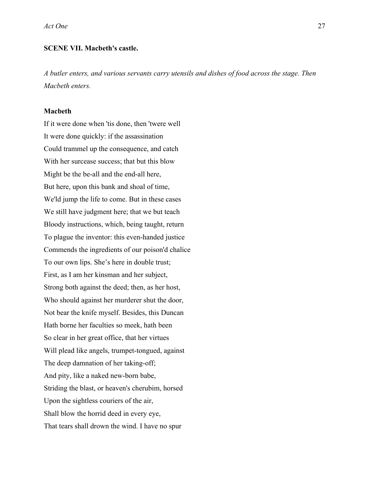### **SCENE VII. Macbeth's castle.**

*A butler enters, and various servants carry utensils and dishes of food across the stage. Then Macbeth enters.*

### **Macbeth**

If it were done when 'tis done, then 'twere well It were done quickly: if the assassination Could trammel up the consequence, and catch With her surcease success; that but this blow Might be the be-all and the end-all here, But here, upon this bank and shoal of time, We'ld jump the life to come. But in these cases We still have judgment here; that we but teach Bloody instructions, which, being taught, return To plague the inventor: this even-handed justice Commends the ingredients of our poison'd chalice To our own lips. She's here in double trust; First, as I am her kinsman and her subject, Strong both against the deed; then, as her host, Who should against her murderer shut the door, Not bear the knife myself. Besides, this Duncan Hath borne her faculties so meek, hath been So clear in her great office, that her virtues Will plead like angels, trumpet-tongued, against The deep damnation of her taking-off; And pity, like a naked new-born babe, Striding the blast, or heaven's cherubim, horsed Upon the sightless couriers of the air, Shall blow the horrid deed in every eye, That tears shall drown the wind. I have no spur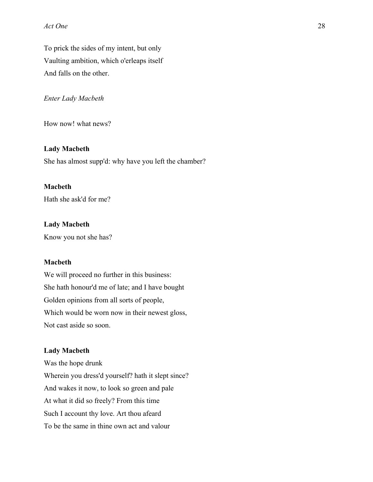To prick the sides of my intent, but only Vaulting ambition, which o'erleaps itself And falls on the other.

### *Enter Lady Macbeth*

How now! what news?

### **Lady Macbeth**

She has almost supp'd: why have you left the chamber?

## **Macbeth**

Hath she ask'd for me?

### **Lady Macbeth**

Know you not she has?

## **Macbeth**

We will proceed no further in this business: She hath honour'd me of late; and I have bought Golden opinions from all sorts of people, Which would be worn now in their newest gloss, Not cast aside so soon.

#### **Lady Macbeth**

Was the hope drunk Wherein you dress'd yourself? hath it slept since? And wakes it now, to look so green and pale At what it did so freely? From this time Such I account thy love. Art thou afeard To be the same in thine own act and valour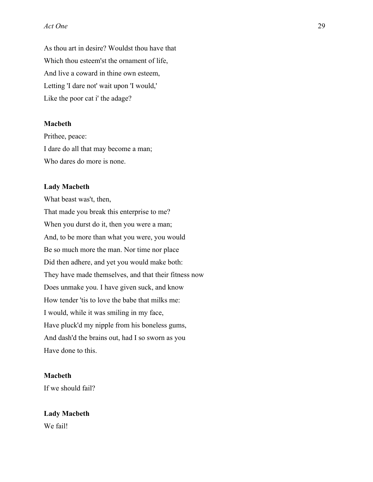As thou art in desire? Wouldst thou have that Which thou esteem'st the ornament of life, And live a coward in thine own esteem, Letting 'I dare not' wait upon 'I would,' Like the poor cat i' the adage?

### **Macbeth**

Prithee, peace: I dare do all that may become a man; Who dares do more is none.

#### **Lady Macbeth**

What beast was't, then, That made you break this enterprise to me? When you durst do it, then you were a man; And, to be more than what you were, you would Be so much more the man. Nor time nor place Did then adhere, and yet you would make both: They have made themselves, and that their fitness now Does unmake you. I have given suck, and know How tender 'tis to love the babe that milks me: I would, while it was smiling in my face, Have pluck'd my nipple from his boneless gums, And dash'd the brains out, had I so sworn as you Have done to this.

## **Macbeth**

If we should fail?

### **Lady Macbeth**

We fail!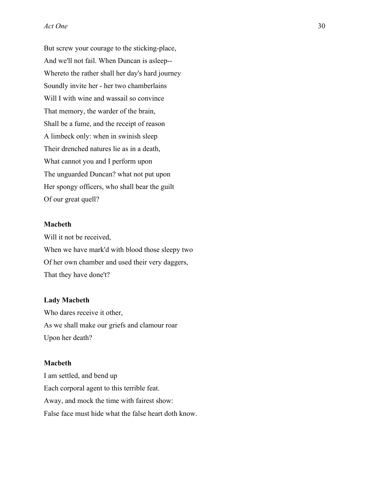But screw your courage to the sticking-place, And we'll not fail. When Duncan is asleep-- Whereto the rather shall her day's hard journey Soundly invite her - her two chamberlains Will I with wine and wassail so convince That memory, the warder of the brain, Shall be a fume, and the receipt of reason A limbeck only: when in swinish sleep Their drenched natures lie as in a death, What cannot you and I perform upon The unguarded Duncan? what not put upon Her spongy officers, who shall bear the guilt Of our great quell?

## **Macbeth**

Will it not be received, When we have mark'd with blood those sleepy two Of her own chamber and used their very daggers, That they have done't?

### **Lady Macbeth**

Who dares receive it other, As we shall make our griefs and clamour roar Upon her death?

### **Macbeth**

I am settled, and bend up Each corporal agent to this terrible feat. Away, and mock the time with fairest show: False face must hide what the false heart doth know.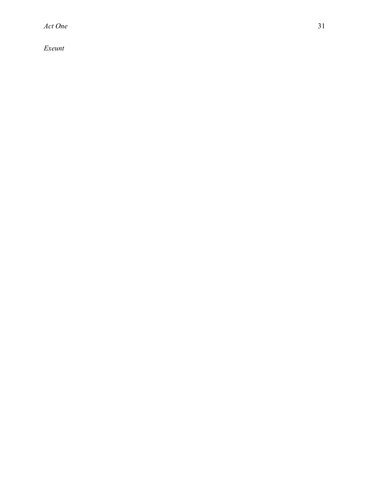*Exeunt*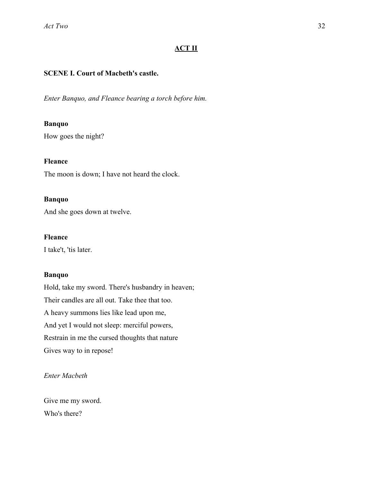## **ACT II**

## **SCENE I. Court of Macbeth's castle.**

*Enter Banquo, and Fleance bearing a torch before him.*

### **Banquo**

How goes the night?

## **Fleance**

The moon is down; I have not heard the clock.

## **Banquo**

And she goes down at twelve.

## **Fleance**

I take't, 'tis later.

## **Banquo**

Hold, take my sword. There's husbandry in heaven; Their candles are all out. Take thee that too. A heavy summons lies like lead upon me, And yet I would not sleep: merciful powers, Restrain in me the cursed thoughts that nature Gives way to in repose!

## *Enter Macbeth*

Give me my sword. Who's there?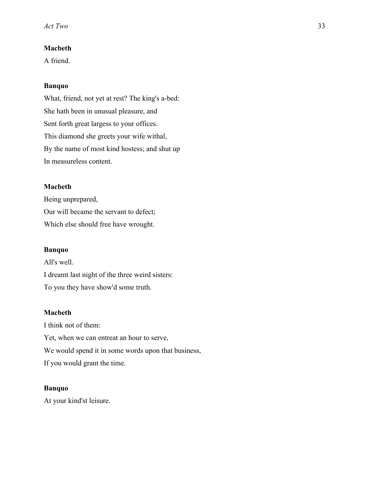## **Macbeth**

A friend.

## **Banquo**

What, friend, not yet at rest? The king's a-bed: She hath been in unusual pleasure, and Sent forth great largess to your offices. This diamond she greets your wife withal, By the name of most kind hostess; and shut up In measureless content.

## **Macbeth**

Being unprepared, Our will became the servant to defect; Which else should free have wrought.

## **Banquo**

All's well. I dreamt last night of the three weird sisters: To you they have show'd some truth.

## **Macbeth**

I think not of them: Yet, when we can entreat an hour to serve, We would spend it in some words upon that business, If you would grant the time.

## **Banquo**

At your kind'st leisure.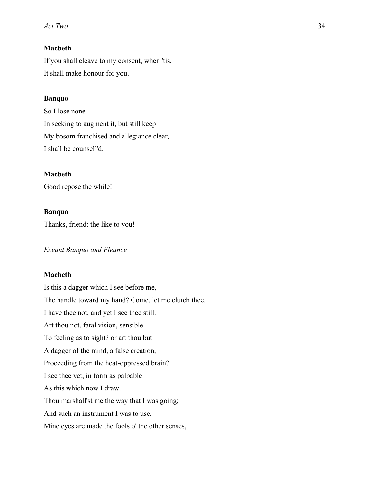## **Macbeth**

If you shall cleave to my consent, when 'tis, It shall make honour for you.

## **Banquo**

So I lose none In seeking to augment it, but still keep My bosom franchised and allegiance clear, I shall be counsell'd.

## **Macbeth**

Good repose the while!

## **Banquo**

Thanks, friend: the like to you!

*Exeunt Banquo and Fleance*

## **Macbeth**

Is this a dagger which I see before me, The handle toward my hand? Come, let me clutch thee. I have thee not, and yet I see thee still. Art thou not, fatal vision, sensible To feeling as to sight? or art thou but A dagger of the mind, a false creation, Proceeding from the heat-oppressed brain? I see thee yet, in form as palpable As this which now I draw. Thou marshall'st me the way that I was going; And such an instrument I was to use. Mine eyes are made the fools o' the other senses,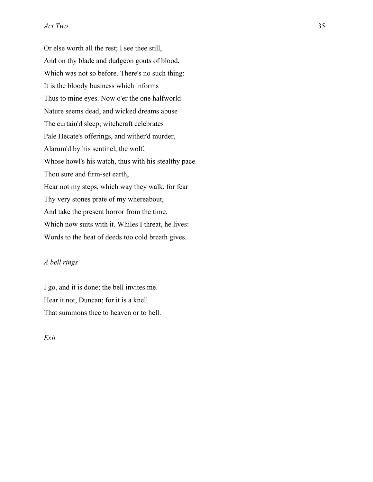Or else worth all the rest; I see thee still, And on thy blade and dudgeon gouts of blood, Which was not so before. There's no such thing: It is the bloody business which informs Thus to mine eyes. Now o'er the one halfworld Nature seems dead, and wicked dreams abuse The curtain'd sleep; witchcraft celebrates Pale Hecate's offerings, and wither'd murder, Alarum'd by his sentinel, the wolf, Whose howl's his watch, thus with his stealthy pace. Thou sure and firm-set earth, Hear not my steps, which way they walk, for fear Thy very stones prate of my whereabout, And take the present horror from the time, Which now suits with it. Whiles I threat, he lives: Words to the heat of deeds too cold breath gives.

#### *A bell rings*

I go, and it is done; the bell invites me. Hear it not, Duncan; for it is a knell That summons thee to heaven or to hell.

*Exit*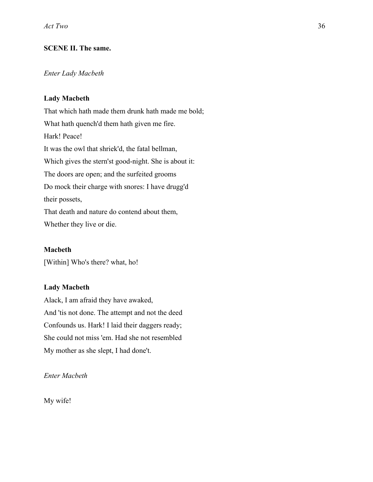## **SCENE II. The same.**

## *Enter Lady Macbeth*

## **Lady Macbeth**

That which hath made them drunk hath made me bold; What hath quench'd them hath given me fire. Hark! Peace! It was the owl that shriek'd, the fatal bellman, Which gives the stern'st good-night. She is about it: The doors are open; and the surfeited grooms Do mock their charge with snores: I have drugg'd their possets, That death and nature do contend about them, Whether they live or die.

### **Macbeth**

[Within] Who's there? what, ho!

## **Lady Macbeth**

Alack, I am afraid they have awaked, And 'tis not done. The attempt and not the deed Confounds us. Hark! I laid their daggers ready; She could not miss 'em. Had she not resembled My mother as she slept, I had done't.

*Enter Macbeth*

My wife!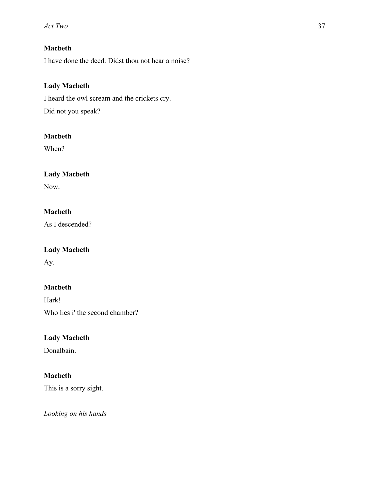# **Macbeth**

I have done the deed. Didst thou not hear a noise?

## **Lady Macbeth**

I heard the owl scream and the crickets cry. Did not you speak?

## **Macbeth**

When?

# **Lady Macbeth**

Now.

## **Macbeth**

As I descended?

## **Lady Macbeth**

Ay.

# **Macbeth**

Hark! Who lies i' the second chamber?

# **Lady Macbeth**

Donalbain.

## **Macbeth**

This is a sorry sight.

*Looking on his hands*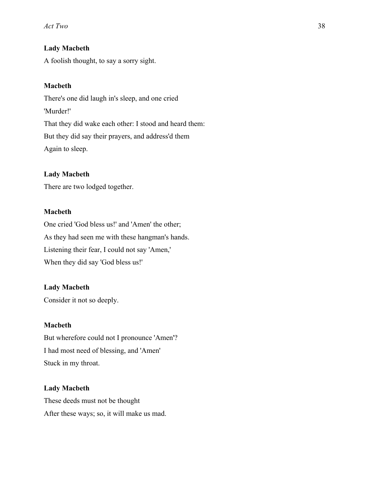### **Lady Macbeth**

A foolish thought, to say a sorry sight.

### **Macbeth**

There's one did laugh in's sleep, and one cried 'Murder!' That they did wake each other: I stood and heard them: But they did say their prayers, and address'd them Again to sleep.

### **Lady Macbeth**

There are two lodged together.

## **Macbeth**

One cried 'God bless us!' and 'Amen' the other; As they had seen me with these hangman's hands. Listening their fear, I could not say 'Amen,' When they did say 'God bless us!'

#### **Lady Macbeth**

Consider it not so deeply.

### **Macbeth**

But wherefore could not I pronounce 'Amen'? I had most need of blessing, and 'Amen' Stuck in my throat.

### **Lady Macbeth**

These deeds must not be thought After these ways; so, it will make us mad.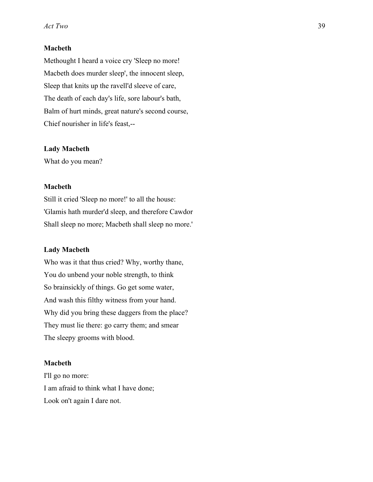#### **Macbeth**

Methought I heard a voice cry 'Sleep no more! Macbeth does murder sleep', the innocent sleep, Sleep that knits up the ravell'd sleeve of care, The death of each day's life, sore labour's bath, Balm of hurt minds, great nature's second course, Chief nourisher in life's feast,--

#### **Lady Macbeth**

What do you mean?

#### **Macbeth**

Still it cried 'Sleep no more!' to all the house: 'Glamis hath murder'd sleep, and therefore Cawdor Shall sleep no more; Macbeth shall sleep no more.'

#### **Lady Macbeth**

Who was it that thus cried? Why, worthy thane, You do unbend your noble strength, to think So brainsickly of things. Go get some water, And wash this filthy witness from your hand. Why did you bring these daggers from the place? They must lie there: go carry them; and smear The sleepy grooms with blood.

#### **Macbeth**

I'll go no more: I am afraid to think what I have done; Look on't again I dare not.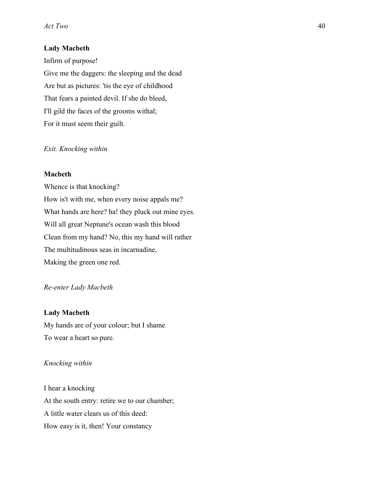### **Lady Macbeth**

Infirm of purpose! Give me the daggers: the sleeping and the dead Are but as pictures: 'tis the eye of childhood That fears a painted devil. If she do bleed, I'll gild the faces of the grooms withal; For it must seem their guilt.

#### *Exit. Knocking within*

#### **Macbeth**

Whence is that knocking? How is't with me, when every noise appals me? What hands are here? ha! they pluck out mine eyes. Will all great Neptune's ocean wash this blood Clean from my hand? No, this my hand will rather The multitudinous seas in incarnadine, Making the green one red.

### *Re-enter Lady Macbeth*

### **Lady Macbeth**

My hands are of your colour; but I shame To wear a heart so pure.

#### *Knocking within*

I hear a knocking At the south entry: retire we to our chamber; A little water clears us of this deed: How easy is it, then! Your constancy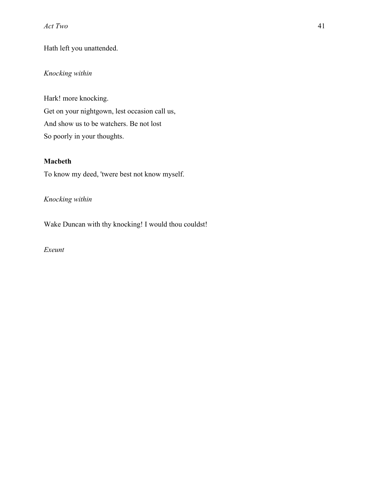# Hath left you unattended.

# *Knocking within*

Hark! more knocking. Get on your nightgown, lest occasion call us, And show us to be watchers. Be not lost So poorly in your thoughts.

## **Macbeth**

To know my deed, 'twere best not know myself.

# *Knocking within*

Wake Duncan with thy knocking! I would thou couldst!

*Exeunt*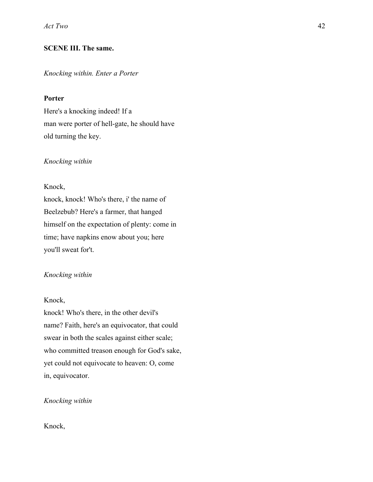## **SCENE III. The same.**

#### *Knocking within. Enter a Porter*

### **Porter**

Here's a knocking indeed! If a man were porter of hell-gate, he should have old turning the key.

#### *Knocking within*

#### Knock,

knock, knock! Who's there, i' the name of Beelzebub? Here's a farmer, that hanged himself on the expectation of plenty: come in time; have napkins enow about you; here you'll sweat for't.

### *Knocking within*

#### Knock,

knock! Who's there, in the other devil's name? Faith, here's an equivocator, that could swear in both the scales against either scale; who committed treason enough for God's sake, yet could not equivocate to heaven: O, come in, equivocator.

### *Knocking within*

Knock,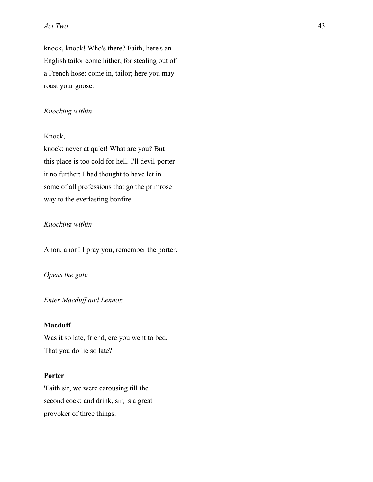knock, knock! Who's there? Faith, here's an English tailor come hither, for stealing out of a French hose: come in, tailor; here you may roast your goose.

#### *Knocking within*

#### Knock,

knock; never at quiet! What are you? But this place is too cold for hell. I'll devil-porter it no further: I had thought to have let in some of all professions that go the primrose way to the everlasting bonfire.

#### *Knocking within*

Anon, anon! I pray you, remember the porter.

*Opens the gate*

*Enter Macduff and Lennox*

### **Macduff**

Was it so late, friend, ere you went to bed, That you do lie so late?

### **Porter**

'Faith sir, we were carousing till the second cock: and drink, sir, is a great provoker of three things.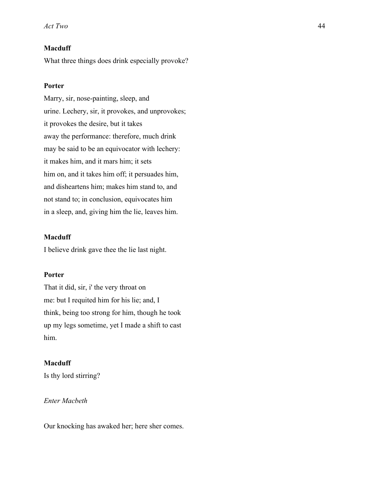## **Macduff**

What three things does drink especially provoke?

### **Porter**

Marry, sir, nose-painting, sleep, and urine. Lechery, sir, it provokes, and unprovokes; it provokes the desire, but it takes away the performance: therefore, much drink may be said to be an equivocator with lechery: it makes him, and it mars him; it sets him on, and it takes him off; it persuades him, and disheartens him; makes him stand to, and not stand to; in conclusion, equivocates him in a sleep, and, giving him the lie, leaves him.

### **Macduff**

I believe drink gave thee the lie last night.

### **Porter**

That it did, sir, i' the very throat on me: but I requited him for his lie; and, I think, being too strong for him, though he took up my legs sometime, yet I made a shift to cast him.

### **Macduff**

Is thy lord stirring?

## *Enter Macbeth*

Our knocking has awaked her; here sher comes.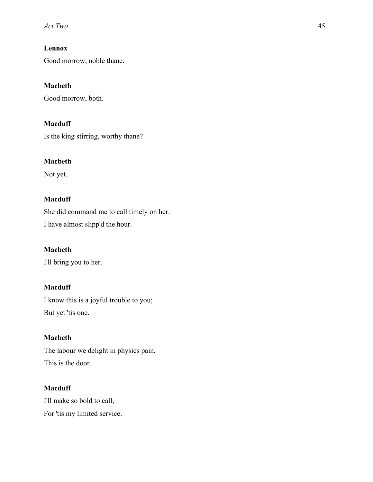# **Lennox**

Good morrow, noble thane.

## **Macbeth**

Good morrow, both.

# **Macduff**

Is the king stirring, worthy thane?

## **Macbeth**

Not yet.

## **Macduff**

She did command me to call timely on her: I have almost slipp'd the hour.

## **Macbeth**

I'll bring you to her.

## **Macduff**

I know this is a joyful trouble to you; But yet 'tis one.

## **Macbeth**

The labour we delight in physics pain. This is the door.

# **Macduff**

I'll make so bold to call, For 'tis my limited service.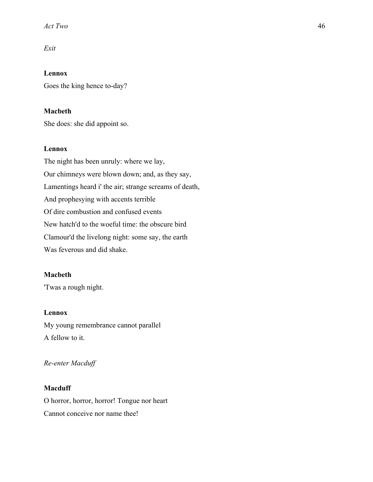## *Exit*

**Lennox** Goes the king hence to-day?

### **Macbeth**

She does: she did appoint so.

### **Lennox**

The night has been unruly: where we lay, Our chimneys were blown down; and, as they say, Lamentings heard i' the air; strange screams of death, And prophesying with accents terrible Of dire combustion and confused events New hatch'd to the woeful time: the obscure bird Clamour'd the livelong night: some say, the earth Was feverous and did shake.

### **Macbeth**

'Twas a rough night.

## **Lennox**

My young remembrance cannot parallel A fellow to it.

### *Re-enter Macduff*

### **Macduff**

O horror, horror, horror! Tongue nor heart Cannot conceive nor name thee!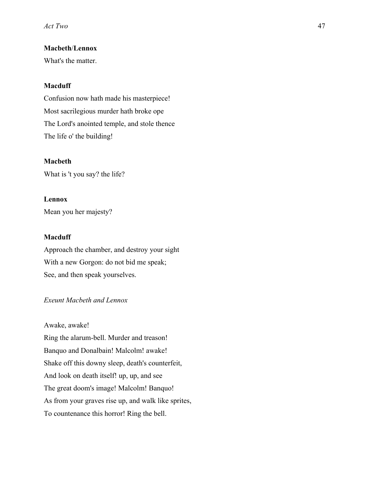## **Macbeth**/**Lennox**

What's the matter.

## **Macduff**

Confusion now hath made his masterpiece! Most sacrilegious murder hath broke ope The Lord's anointed temple, and stole thence The life o' the building!

#### **Macbeth**

What is 't you say? the life?

### **Lennox**

Mean you her majesty?

### **Macduff**

Approach the chamber, and destroy your sight With a new Gorgon: do not bid me speak; See, and then speak yourselves.

#### *Exeunt Macbeth and Lennox*

Awake, awake!

Ring the alarum-bell. Murder and treason! Banquo and Donalbain! Malcolm! awake! Shake off this downy sleep, death's counterfeit, And look on death itself! up, up, and see The great doom's image! Malcolm! Banquo! As from your graves rise up, and walk like sprites, To countenance this horror! Ring the bell.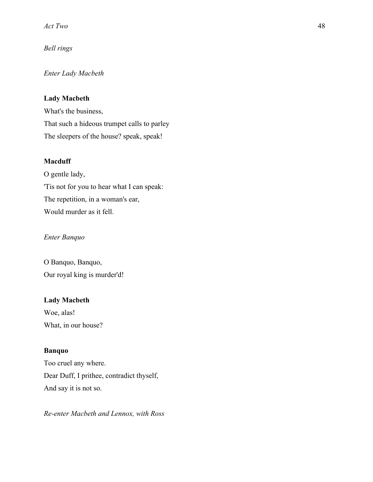*Bell rings*

## *Enter Lady Macbeth*

## **Lady Macbeth**

What's the business, That such a hideous trumpet calls to parley The sleepers of the house? speak, speak!

### **Macduff**

O gentle lady, 'Tis not for you to hear what I can speak: The repetition, in a woman's ear, Would murder as it fell.

### *Enter Banquo*

O Banquo, Banquo, Our royal king is murder'd!

## **Lady Macbeth**

Woe, alas! What, in our house?

### **Banquo**

Too cruel any where. Dear Duff, I prithee, contradict thyself, And say it is not so.

*Re-enter Macbeth and Lennox, with Ross*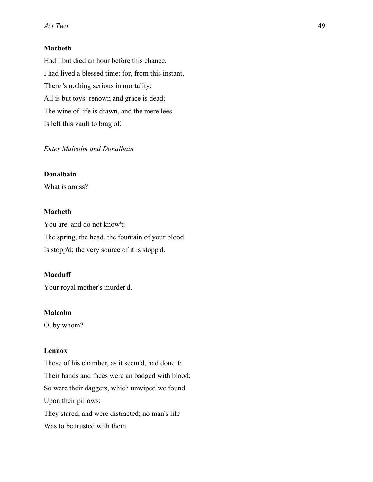## **Macbeth**

Had I but died an hour before this chance, I had lived a blessed time; for, from this instant, There 's nothing serious in mortality: All is but toys: renown and grace is dead; The wine of life is drawn, and the mere lees Is left this vault to brag of.

## *Enter Malcolm and Donalbain*

### **Donalbain**

What is amiss?

#### **Macbeth**

You are, and do not know't: The spring, the head, the fountain of your blood Is stopp'd; the very source of it is stopp'd.

### **Macduff**

Your royal mother's murder'd.

### **Malcolm**

O, by whom?

#### **Lennox**

Those of his chamber, as it seem'd, had done 't: Their hands and faces were an badged with blood; So were their daggers, which unwiped we found Upon their pillows: They stared, and were distracted; no man's life Was to be trusted with them.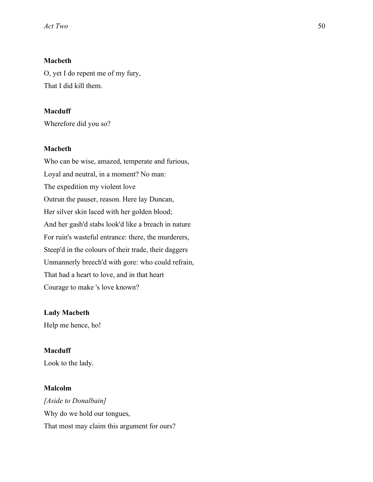## **Macbeth**

O, yet I do repent me of my fury, That I did kill them.

### **Macduff**

Wherefore did you so?

### **Macbeth**

Who can be wise, amazed, temperate and furious, Loyal and neutral, in a moment? No man: The expedition my violent love Outrun the pauser, reason. Here lay Duncan, Her silver skin laced with her golden blood; And her gash'd stabs look'd like a breach in nature For ruin's wasteful entrance: there, the murderers, Steep'd in the colours of their trade, their daggers Unmannerly breech'd with gore: who could refrain, That had a heart to love, and in that heart Courage to make 's love known?

### **Lady Macbeth**

Help me hence, ho!

### **Macduff**

Look to the lady.

### **Malcolm**

*[Aside to Donalbain]* Why do we hold our tongues, That most may claim this argument for ours?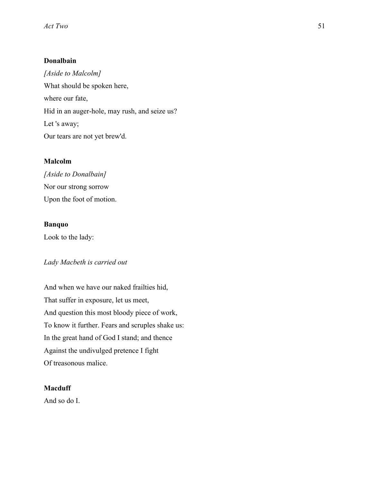## **Donalbain**

*[Aside to Malcolm]* What should be spoken here, where our fate, Hid in an auger-hole, may rush, and seize us? Let 's away; Our tears are not yet brew'd.

## **Malcolm**

*[Aside to Donalbain]* Nor our strong sorrow Upon the foot of motion.

## **Banquo**

Look to the lady:

## *Lady Macbeth is carried out*

And when we have our naked frailties hid, That suffer in exposure, let us meet, And question this most bloody piece of work, To know it further. Fears and scruples shake us: In the great hand of God I stand; and thence Against the undivulged pretence I fight Of treasonous malice.

## **Macduff**

And so do I.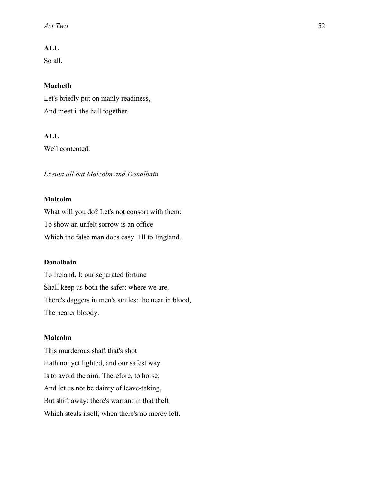### **ALL**

So all.

#### **Macbeth**

Let's briefly put on manly readiness, And meet i' the hall together.

## **ALL**

Well contented.

*Exeunt all but Malcolm and Donalbain.*

### **Malcolm**

What will you do? Let's not consort with them: To show an unfelt sorrow is an office Which the false man does easy. I'll to England.

#### **Donalbain**

To Ireland, I; our separated fortune Shall keep us both the safer: where we are, There's daggers in men's smiles: the near in blood, The nearer bloody.

#### **Malcolm**

This murderous shaft that's shot Hath not yet lighted, and our safest way Is to avoid the aim. Therefore, to horse; And let us not be dainty of leave-taking, But shift away: there's warrant in that theft Which steals itself, when there's no mercy left.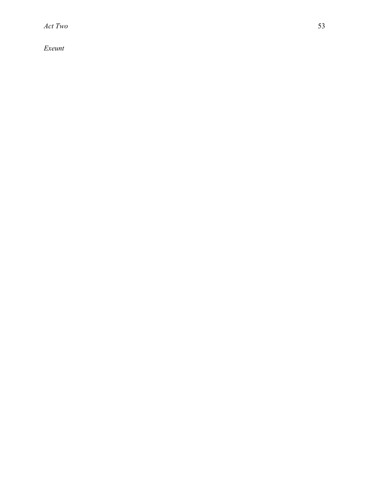*Exeunt*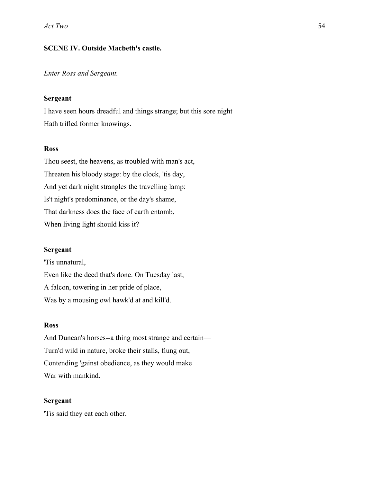## **SCENE IV. Outside Macbeth's castle.**

### *Enter Ross and Sergeant.*

#### **Sergeant**

I have seen hours dreadful and things strange; but this sore night Hath trifled former knowings.

### **Ross**

Thou seest, the heavens, as troubled with man's act, Threaten his bloody stage: by the clock, 'tis day, And yet dark night strangles the travelling lamp: Is't night's predominance, or the day's shame, That darkness does the face of earth entomb, When living light should kiss it?

### **Sergeant**

'Tis unnatural, Even like the deed that's done. On Tuesday last, A falcon, towering in her pride of place, Was by a mousing owl hawk'd at and kill'd.

### **Ross**

And Duncan's horses--a thing most strange and certain— Turn'd wild in nature, broke their stalls, flung out, Contending 'gainst obedience, as they would make War with mankind.

#### **Sergeant**

'Tis said they eat each other.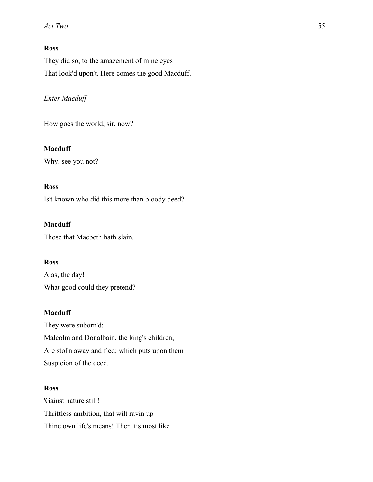## **Ross**

They did so, to the amazement of mine eyes That look'd upon't. Here comes the good Macduff.

# *Enter Macduff*

How goes the world, sir, now?

## **Macduff**

Why, see you not?

## **Ross**

Is't known who did this more than bloody deed?

## **Macduff**

Those that Macbeth hath slain.

## **Ross**

Alas, the day! What good could they pretend?

## **Macduff**

They were suborn'd: Malcolm and Donalbain, the king's children, Are stol'n away and fled; which puts upon them Suspicion of the deed.

## **Ross**

'Gainst nature still! Thriftless ambition, that wilt ravin up Thine own life's means! Then 'tis most like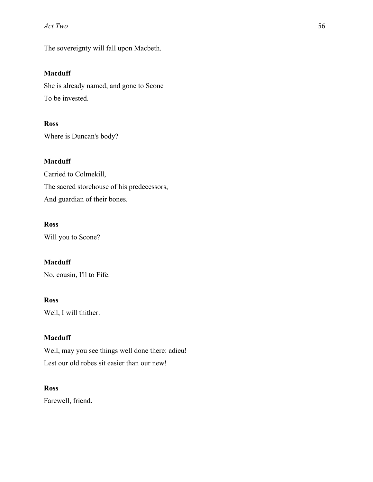The sovereignty will fall upon Macbeth.

## **Macduff**

She is already named, and gone to Scone To be invested.

## **Ross**

Where is Duncan's body?

## **Macduff**

Carried to Colmekill, The sacred storehouse of his predecessors, And guardian of their bones.

# **Ross**

Will you to Scone?

# **Macduff**

No, cousin, I'll to Fife.

### **Ross**

Well, I will thither.

### **Macduff**

Well, may you see things well done there: adieu! Lest our old robes sit easier than our new!

### **Ross**

Farewell, friend.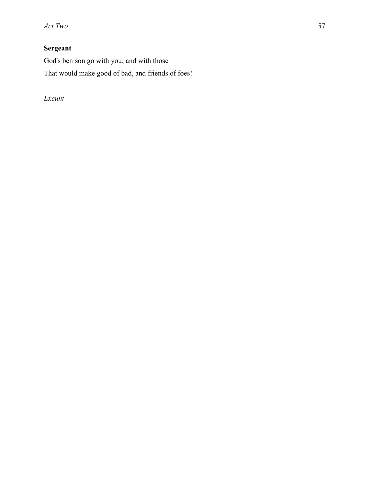# **Sergeant**

God's benison go with you; and with those That would make good of bad, and friends of foes!

*Exeunt*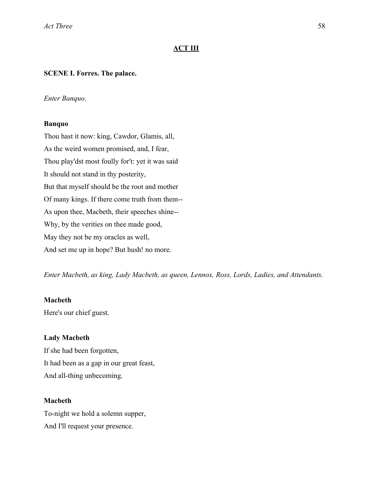### **ACT III**

#### **SCENE I. Forres. The palace.**

#### *Enter Banquo.*

#### **Banquo**

Thou hast it now: king, Cawdor, Glamis, all, As the weird women promised, and, I fear, Thou play'dst most foully for't: yet it was said It should not stand in thy posterity, But that myself should be the root and mother Of many kings. If there come truth from them-- As upon thee, Macbeth, their speeches shine-- Why, by the verities on thee made good, May they not be my oracles as well, And set me up in hope? But hush! no more.

*Enter Macbeth, as king, Lady Macbeth, as queen, Lennox, Ross, Lords, Ladies, and Attendants.*

#### **Macbeth**

Here's our chief guest.

#### **Lady Macbeth**

If she had been forgotten, It had been as a gap in our great feast, And all-thing unbecoming.

#### **Macbeth**

To-night we hold a solemn supper, And I'll request your presence.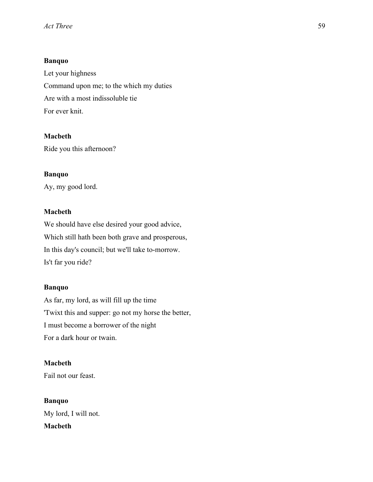### **Banquo**

Let your highness Command upon me; to the which my duties Are with a most indissoluble tie For ever knit.

### **Macbeth**

Ride you this afternoon?

### **Banquo**

Ay, my good lord.

## **Macbeth**

We should have else desired your good advice, Which still hath been both grave and prosperous, In this day's council; but we'll take to-morrow. Is't far you ride?

### **Banquo**

As far, my lord, as will fill up the time 'Twixt this and supper: go not my horse the better, I must become a borrower of the night For a dark hour or twain.

## **Macbeth**

Fail not our feast.

**Banquo** My lord, I will not. **Macbeth**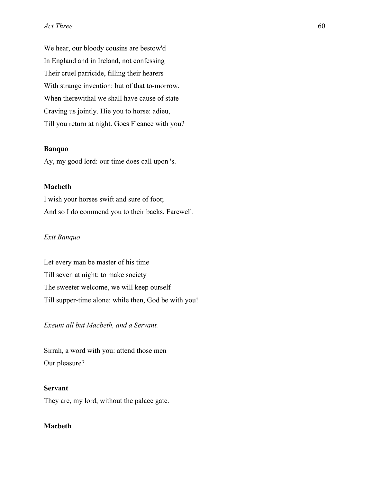We hear, our bloody cousins are bestow'd In England and in Ireland, not confessing Their cruel parricide, filling their hearers With strange invention: but of that to-morrow, When therewithal we shall have cause of state Craving us jointly. Hie you to horse: adieu, Till you return at night. Goes Fleance with you?

### **Banquo**

Ay, my good lord: our time does call upon 's.

### **Macbeth**

I wish your horses swift and sure of foot; And so I do commend you to their backs. Farewell.

#### *Exit Banquo*

Let every man be master of his time Till seven at night: to make society The sweeter welcome, we will keep ourself Till supper-time alone: while then, God be with you!

*Exeunt all but Macbeth, and a Servant.*

Sirrah, a word with you: attend those men Our pleasure?

#### **Servant**

They are, my lord, without the palace gate.

### **Macbeth**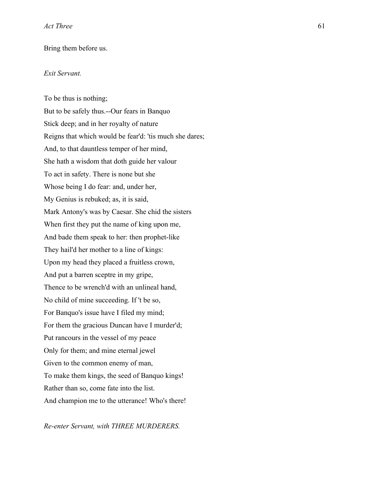#### Bring them before us.

### *Exit Servant.*

To be thus is nothing; But to be safely thus.--Our fears in Banquo Stick deep; and in her royalty of nature Reigns that which would be fear'd: 'tis much she dares; And, to that dauntless temper of her mind, She hath a wisdom that doth guide her valour To act in safety. There is none but she Whose being I do fear: and, under her, My Genius is rebuked; as, it is said, Mark Antony's was by Caesar. She chid the sisters When first they put the name of king upon me, And bade them speak to her: then prophet-like They hail'd her mother to a line of kings: Upon my head they placed a fruitless crown, And put a barren sceptre in my gripe, Thence to be wrench'd with an unlineal hand, No child of mine succeeding. If 't be so, For Banquo's issue have I filed my mind; For them the gracious Duncan have I murder'd; Put rancours in the vessel of my peace Only for them; and mine eternal jewel Given to the common enemy of man, To make them kings, the seed of Banquo kings! Rather than so, come fate into the list. And champion me to the utterance! Who's there!

*Re-enter Servant, with THREE MURDERERS.*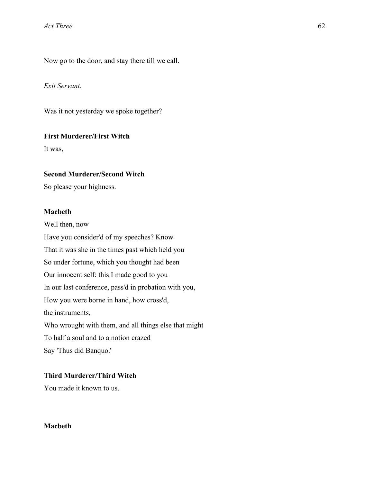Now go to the door, and stay there till we call.

*Exit Servant.*

Was it not yesterday we spoke together?

#### **First Murderer/First Witch**

It was,

### **Second Murderer/Second Witch**

So please your highness.

**Macbeth** Well then, now Have you consider'd of my speeches? Know That it was she in the times past which held you So under fortune, which you thought had been Our innocent self: this I made good to you In our last conference, pass'd in probation with you, How you were borne in hand, how cross'd, the instruments, Who wrought with them, and all things else that might To half a soul and to a notion crazed Say 'Thus did Banquo.'

## **Third Murderer/Third Witch**

You made it known to us.

### **Macbeth**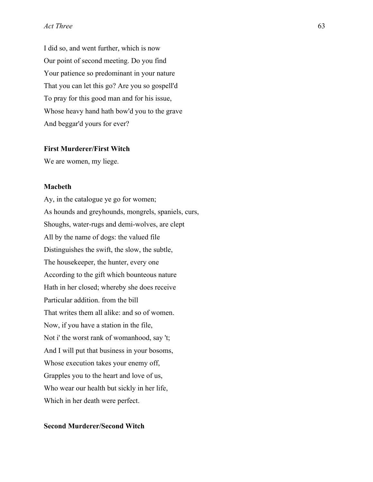I did so, and went further, which is now Our point of second meeting. Do you find Your patience so predominant in your nature That you can let this go? Are you so gospell'd To pray for this good man and for his issue, Whose heavy hand hath bow'd you to the grave And beggar'd yours for ever?

### **First Murderer/First Witch**

We are women, my liege.

#### **Macbeth**

Ay, in the catalogue ye go for women; As hounds and greyhounds, mongrels, spaniels, curs, Shoughs, water-rugs and demi-wolves, are clept All by the name of dogs: the valued file Distinguishes the swift, the slow, the subtle, The housekeeper, the hunter, every one According to the gift which bounteous nature Hath in her closed; whereby she does receive Particular addition. from the bill That writes them all alike: and so of women. Now, if you have a station in the file, Not i' the worst rank of womanhood, say 't; And I will put that business in your bosoms, Whose execution takes your enemy off, Grapples you to the heart and love of us, Who wear our health but sickly in her life, Which in her death were perfect.

### **Second Murderer/Second Witch**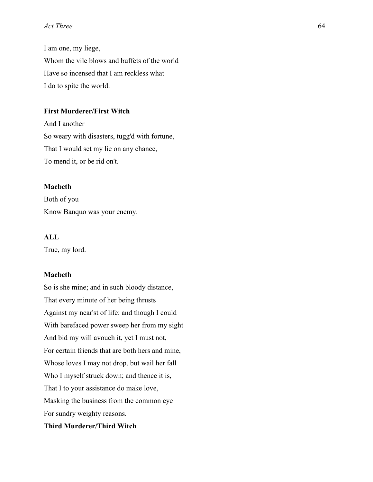I am one, my liege, Whom the vile blows and buffets of the world Have so incensed that I am reckless what I do to spite the world.

### **First Murderer/First Witch**

And I another So weary with disasters, tugg'd with fortune, That I would set my lie on any chance, To mend it, or be rid on't.

#### **Macbeth**

Both of you Know Banquo was your enemy.

## **ALL**

True, my lord.

### **Macbeth**

So is she mine; and in such bloody distance, That every minute of her being thrusts Against my near'st of life: and though I could With barefaced power sweep her from my sight And bid my will avouch it, yet I must not, For certain friends that are both hers and mine, Whose loves I may not drop, but wail her fall Who I myself struck down; and thence it is, That I to your assistance do make love, Masking the business from the common eye For sundry weighty reasons.

### **Third Murderer/Third Witch**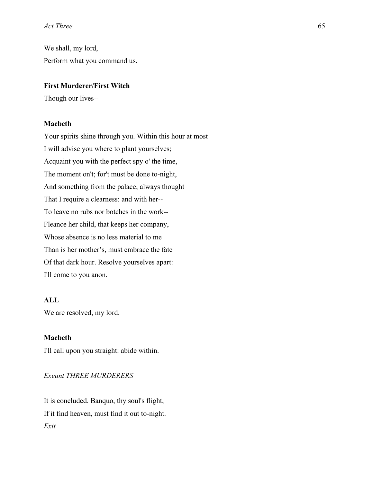We shall, my lord, Perform what you command us.

### **First Murderer/First Witch**

Though our lives--

#### **Macbeth**

Your spirits shine through you. Within this hour at most I will advise you where to plant yourselves; Acquaint you with the perfect spy o' the time, The moment on't; for't must be done to-night, And something from the palace; always thought That I require a clearness: and with her-- To leave no rubs nor botches in the work-- Fleance her child, that keeps her company, Whose absence is no less material to me Than is her mother's, must embrace the fate Of that dark hour. Resolve yourselves apart: I'll come to you anon.

## **ALL**

We are resolved, my lord.

#### **Macbeth**

I'll call upon you straight: abide within.

## *Exeunt THREE MURDERERS*

It is concluded. Banquo, thy soul's flight, If it find heaven, must find it out to-night. *Exit*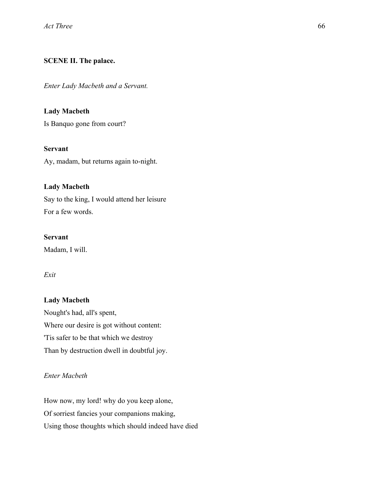## **SCENE II. The palace.**

*Enter Lady Macbeth and a Servant.*

### **Lady Macbeth**

Is Banquo gone from court?

### **Servant**

Ay, madam, but returns again to-night.

### **Lady Macbeth**

Say to the king, I would attend her leisure For a few words.

### **Servant**

Madam, I will.

## *Exit*

# **Lady Macbeth**

Nought's had, all's spent, Where our desire is got without content: 'Tis safer to be that which we destroy Than by destruction dwell in doubtful joy.

## *Enter Macbeth*

How now, my lord! why do you keep alone, Of sorriest fancies your companions making, Using those thoughts which should indeed have died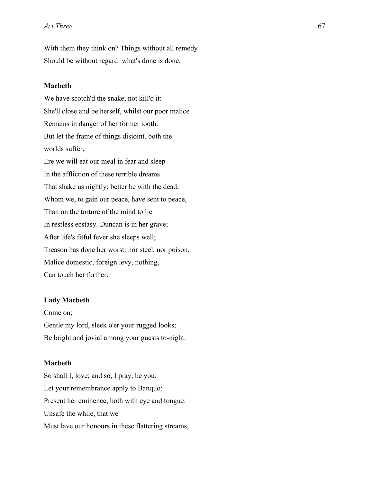With them they think on? Things without all remedy Should be without regard: what's done is done.

#### **Macbeth**

We have scotch'd the snake, not kill'd it: She'll close and be herself, whilst our poor malice Remains in danger of her former tooth. But let the frame of things disjoint, both the worlds suffer, Ere we will eat our meal in fear and sleep In the affliction of these terrible dreams That shake us nightly: better be with the dead, Whom we, to gain our peace, have sent to peace, Than on the torture of the mind to lie In restless ecstasy. Duncan is in her grave; After life's fitful fever she sleeps well; Treason has done her worst: nor steel, nor poison, Malice domestic, foreign levy, nothing, Can touch her further.

#### **Lady Macbeth**

Come on; Gentle my lord, sleek o'er your rugged looks; Be bright and jovial among your guests to-night.

#### **Macbeth**

So shall I, love; and so, I pray, be you: Let your remembrance apply to Banquo; Present her eminence, both with eye and tongue: Unsafe the while, that we Must lave our honours in these flattering streams,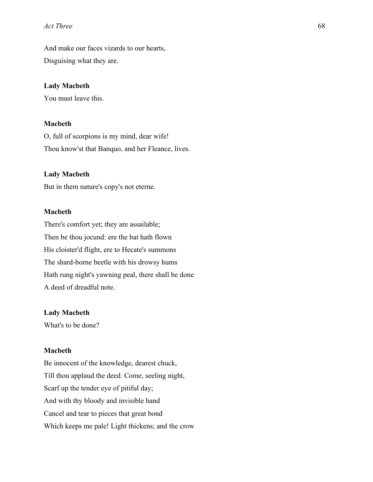And make our faces vizards to our hearts, Disguising what they are.

#### **Lady Macbeth**

You must leave this.

#### **Macbeth**

O, full of scorpions is my mind, dear wife! Thou know'st that Banquo, and her Fleance, lives.

#### **Lady Macbeth**

But in them nature's copy's not eterne.

#### **Macbeth**

There's comfort yet; they are assailable; Then be thou jocund: ere the bat hath flown His cloister'd flight, ere to Hecate's summons The shard-borne beetle with his drowsy hums Hath rung night's yawning peal, there shall be done A deed of dreadful note.

#### **Lady Macbeth**

What's to be done?

#### **Macbeth**

Be innocent of the knowledge, dearest chuck, Till thou applaud the deed. Come, seeling night, Scarf up the tender eye of pitiful day; And with thy bloody and invisible hand Cancel and tear to pieces that great bond Which keeps me pale! Light thickens; and the crow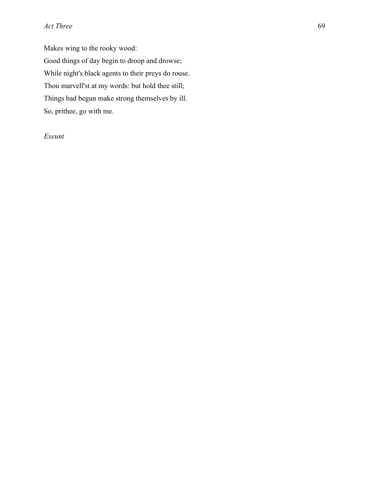Makes wing to the rooky wood: Good things of day begin to droop and drowse; While night's black agents to their preys do rouse. Thou marvell'st at my words: but hold thee still; Things bad begun make strong themselves by ill. So, prithee, go with me.

## *Exeunt*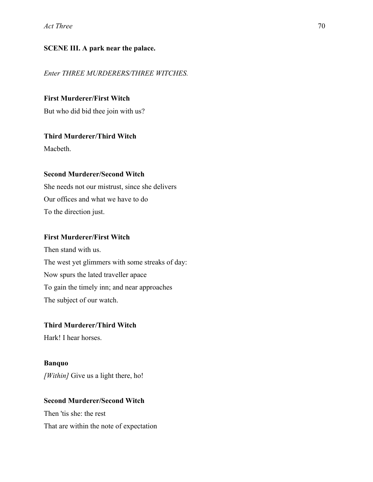### **SCENE III. A park near the palace.**

#### *Enter THREE MURDERERS/THREE WITCHES.*

### **First Murderer/First Witch**

But who did bid thee join with us?

### **Third Murderer/Third Witch**

Macbeth.

### **Second Murderer/Second Witch**

She needs not our mistrust, since she delivers Our offices and what we have to do To the direction just.

### **First Murderer/First Witch**

Then stand with us. The west yet glimmers with some streaks of day: Now spurs the lated traveller apace To gain the timely inn; and near approaches The subject of our watch.

## **Third Murderer/Third Witch**

Hark! I hear horses.

# **Banquo**

*[Within]* Give us a light there, ho!

#### **Second Murderer/Second Witch**

Then 'tis she: the rest That are within the note of expectation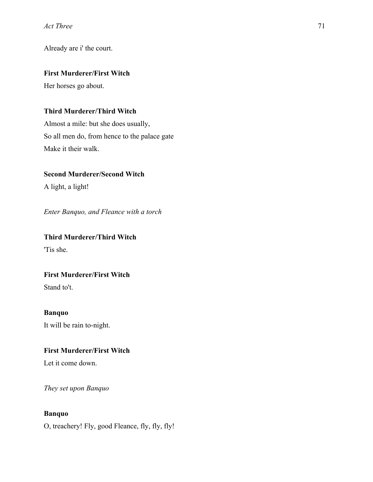Already are i' the court.

## **First Murderer/First Witch**

Her horses go about.

## **Third Murderer/Third Witch**

Almost a mile: but she does usually, So all men do, from hence to the palace gate Make it their walk.

## **Second Murderer/Second Witch**

A light, a light!

*Enter Banquo, and Fleance with a torch*

# **Third Murderer/Third Witch** 'Tis she.

## **First Murderer/First Witch**

Stand to't.

## **Banquo**

It will be rain to-night.

# **First Murderer/First Witch**

Let it come down.

*They set upon Banquo*

# **Banquo**

O, treachery! Fly, good Fleance, fly, fly, fly!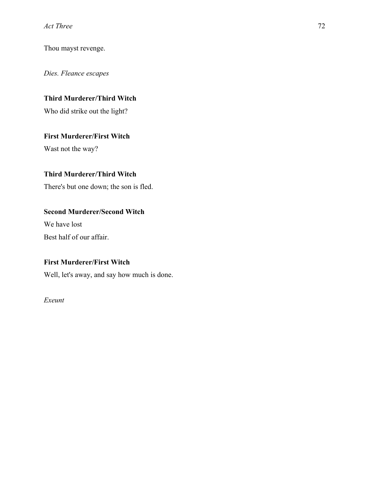Thou mayst revenge.

*Dies. Fleance escapes*

# **Third Murderer/Third Witch**

Who did strike out the light?

# **First Murderer/First Witch**

Wast not the way?

## **Third Murderer/Third Witch**

There's but one down; the son is fled.

## **Second Murderer/Second Witch**

We have lost

Best half of our affair.

# **First Murderer/First Witch**

Well, let's away, and say how much is done.

*Exeunt*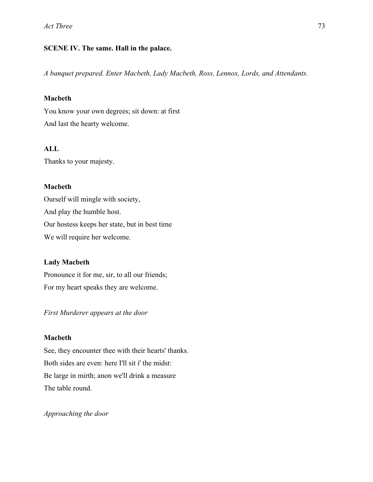## **SCENE IV. The same. Hall in the palace.**

*A banquet prepared. Enter Macbeth, Lady Macbeth, Ross, Lennox, Lords, and Attendants.*

## **Macbeth**

You know your own degrees; sit down: at first And last the hearty welcome.

# **ALL**

Thanks to your majesty.

## **Macbeth**

Ourself will mingle with society, And play the humble host. Our hostess keeps her state, but in best time We will require her welcome.

## **Lady Macbeth**

Pronounce it for me, sir, to all our friends; For my heart speaks they are welcome.

*First Murderer appears at the door*

## **Macbeth**

See, they encounter thee with their hearts' thanks. Both sides are even: here I'll sit i' the midst: Be large in mirth; anon we'll drink a measure The table round.

*Approaching the door*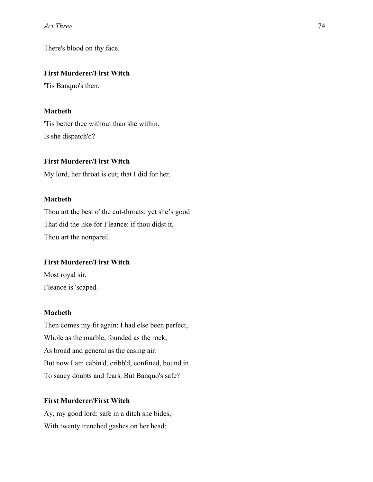There's blood on thy face.

## **First Murderer/First Witch**

'Tis Banquo's then.

## **Macbeth**

'Tis better thee without than she within. Is she dispatch'd?

## **First Murderer/First Witch**

My lord, her throat is cut; that I did for her.

## **Macbeth**

Thou art the best o' the cut-throats: yet she's good That did the like for Fleance: if thou didst it, Thou art the nonpareil.

## **First Murderer/First Witch**

Most royal sir, Fleance is 'scaped.

## **Macbeth**

Then comes my fit again: I had else been perfect, Whole as the marble, founded as the rock, As broad and general as the casing air: But now I am cabin'd, cribb'd, confined, bound in To saucy doubts and fears. But Banquo's safe?

## **First Murderer/First Witch**

Ay, my good lord: safe in a ditch she bides, With twenty trenched gashes on her head;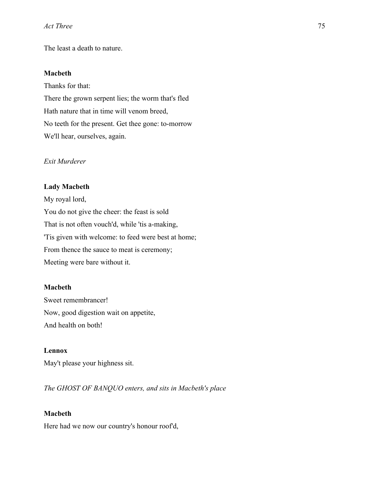The least a death to nature.

### **Macbeth**

Thanks for that: There the grown serpent lies; the worm that's fled Hath nature that in time will venom breed, No teeth for the present. Get thee gone: to-morrow We'll hear, ourselves, again.

## *Exit Murderer*

#### **Lady Macbeth**

My royal lord, You do not give the cheer: the feast is sold That is not often vouch'd, while 'tis a-making, 'Tis given with welcome: to feed were best at home; From thence the sauce to meat is ceremony; Meeting were bare without it.

#### **Macbeth**

Sweet remembrancer! Now, good digestion wait on appetite, And health on both!

#### **Lennox**

May't please your highness sit.

*The GHOST OF BANQUO enters, and sits in Macbeth's place*

#### **Macbeth**

Here had we now our country's honour roof'd,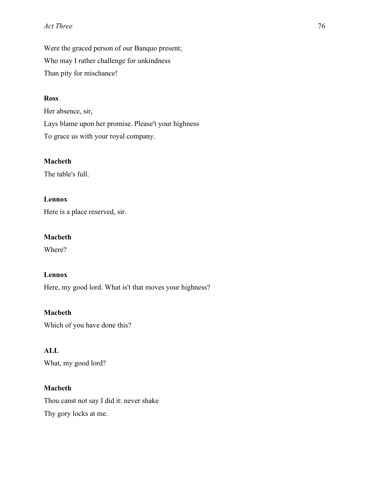Were the graced person of our Banquo present; Who may I rather challenge for unkindness Than pity for mischance!

## **Ross**

Her absence, sir, Lays blame upon her promise. Please't your highness To grace us with your royal company.

## **Macbeth**

The table's full.

# **Lennox**

Here is a place reserved, sir.

### **Macbeth**

Where?

# **Lennox**

Here, my good lord. What is't that moves your highness?

**Macbeth** Which of you have done this?

## **ALL**

What, my good lord?

### **Macbeth**

Thou canst not say I did it: never shake Thy gory locks at me.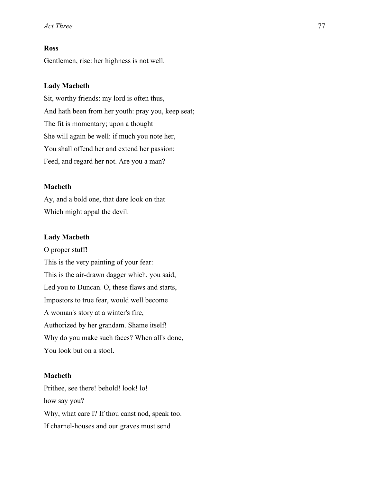## **Ross**

Gentlemen, rise: her highness is not well.

#### **Lady Macbeth**

Sit, worthy friends: my lord is often thus, And hath been from her youth: pray you, keep seat; The fit is momentary; upon a thought She will again be well: if much you note her, You shall offend her and extend her passion: Feed, and regard her not. Are you a man?

#### **Macbeth**

Ay, and a bold one, that dare look on that Which might appal the devil.

#### **Lady Macbeth**

O proper stuff! This is the very painting of your fear: This is the air-drawn dagger which, you said, Led you to Duncan. O, these flaws and starts, Impostors to true fear, would well become A woman's story at a winter's fire, Authorized by her grandam. Shame itself! Why do you make such faces? When all's done, You look but on a stool.

### **Macbeth**

Prithee, see there! behold! look! lo! how say you? Why, what care I? If thou canst nod, speak too. If charnel-houses and our graves must send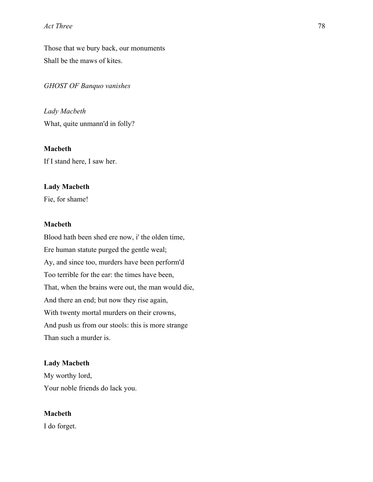Those that we bury back, our monuments Shall be the maws of kites.

*GHOST OF Banquo vanishes*

*Lady Macbeth* What, quite unmann'd in folly?

**Macbeth** If I stand here, I saw her.

#### **Lady Macbeth**

Fie, for shame!

### **Macbeth**

Blood hath been shed ere now, i' the olden time, Ere human statute purged the gentle weal; Ay, and since too, murders have been perform'd Too terrible for the ear: the times have been, That, when the brains were out, the man would die, And there an end; but now they rise again, With twenty mortal murders on their crowns, And push us from our stools: this is more strange Than such a murder is.

#### **Lady Macbeth**

My worthy lord, Your noble friends do lack you.

#### **Macbeth**

I do forget.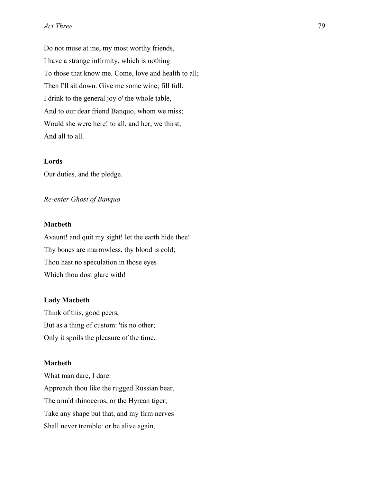Do not muse at me, my most worthy friends, I have a strange infirmity, which is nothing To those that know me. Come, love and health to all; Then I'll sit down. Give me some wine; fill full. I drink to the general joy o' the whole table, And to our dear friend Banquo, whom we miss; Would she were here! to all, and her, we thirst, And all to all.

## **Lords**

Our duties, and the pledge.

### *Re-enter Ghost of Banquo*

### **Macbeth**

Avaunt! and quit my sight! let the earth hide thee! Thy bones are marrowless, thy blood is cold; Thou hast no speculation in those eyes Which thou dost glare with!

#### **Lady Macbeth**

Think of this, good peers, But as a thing of custom: 'tis no other; Only it spoils the pleasure of the time.

#### **Macbeth**

What man dare, I dare: Approach thou like the rugged Russian bear, The arm'd rhinoceros, or the Hyrcan tiger; Take any shape but that, and my firm nerves Shall never tremble: or be alive again,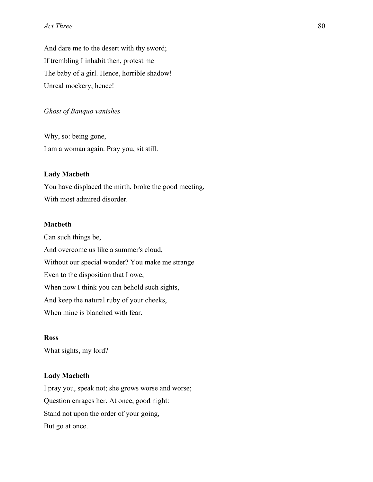And dare me to the desert with thy sword; If trembling I inhabit then, protest me The baby of a girl. Hence, horrible shadow! Unreal mockery, hence!

### *Ghost of Banquo vanishes*

Why, so: being gone, I am a woman again. Pray you, sit still.

## **Lady Macbeth**

You have displaced the mirth, broke the good meeting, With most admired disorder.

### **Macbeth**

Can such things be, And overcome us like a summer's cloud, Without our special wonder? You make me strange Even to the disposition that I owe, When now I think you can behold such sights, And keep the natural ruby of your cheeks, When mine is blanched with fear.

#### **Ross**

What sights, my lord?

#### **Lady Macbeth**

I pray you, speak not; she grows worse and worse; Question enrages her. At once, good night: Stand not upon the order of your going, But go at once.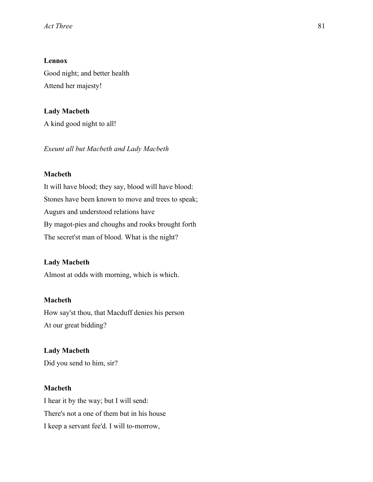## **Lennox**

Good night; and better health Attend her majesty!

## **Lady Macbeth**

A kind good night to all!

*Exeunt all but Macbeth and Lady Macbeth*

## **Macbeth**

It will have blood; they say, blood will have blood: Stones have been known to move and trees to speak; Augurs and understood relations have By magot-pies and choughs and rooks brought forth The secret'st man of blood. What is the night?

### **Lady Macbeth**

Almost at odds with morning, which is which.

#### **Macbeth**

How say'st thou, that Macduff denies his person At our great bidding?

#### **Lady Macbeth**

Did you send to him, sir?

### **Macbeth**

I hear it by the way; but I will send: There's not a one of them but in his house I keep a servant fee'd. I will to-morrow,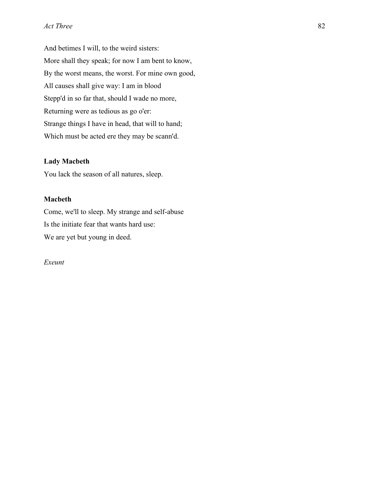And betimes I will, to the weird sisters: More shall they speak; for now I am bent to know, By the worst means, the worst. For mine own good, All causes shall give way: I am in blood Stepp'd in so far that, should I wade no more, Returning were as tedious as go o'er: Strange things I have in head, that will to hand; Which must be acted ere they may be scann'd.

#### **Lady Macbeth**

You lack the season of all natures, sleep.

## **Macbeth**

Come, we'll to sleep. My strange and self-abuse Is the initiate fear that wants hard use: We are yet but young in deed.

*Exeunt*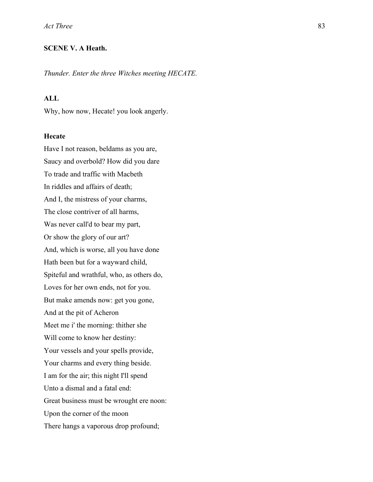## **SCENE V. A Heath.**

*Thunder. Enter the three Witches meeting HECATE.*

### **ALL**

Why, how now, Hecate! you look angerly.

### **Hecate**

Have I not reason, beldams as you are, Saucy and overbold? How did you dare To trade and traffic with Macbeth In riddles and affairs of death; And I, the mistress of your charms, The close contriver of all harms, Was never call'd to bear my part, Or show the glory of our art? And, which is worse, all you have done Hath been but for a wayward child, Spiteful and wrathful, who, as others do, Loves for her own ends, not for you. But make amends now: get you gone, And at the pit of Acheron Meet me i' the morning: thither she Will come to know her destiny: Your vessels and your spells provide, Your charms and every thing beside. I am for the air; this night I'll spend Unto a dismal and a fatal end: Great business must be wrought ere noon: Upon the corner of the moon There hangs a vaporous drop profound;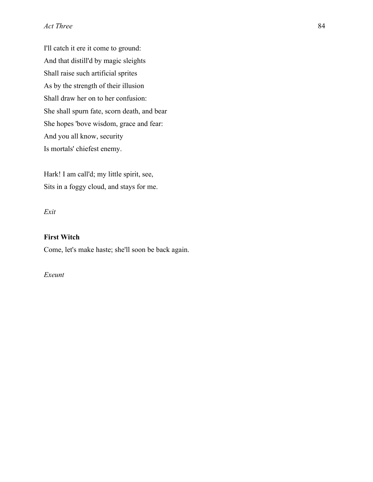I'll catch it ere it come to ground: And that distill'd by magic sleights Shall raise such artificial sprites As by the strength of their illusion Shall draw her on to her confusion: She shall spurn fate, scorn death, and bear She hopes 'bove wisdom, grace and fear: And you all know, security Is mortals' chiefest enemy.

Hark! I am call'd; my little spirit, see, Sits in a foggy cloud, and stays for me.

*Exit*

### **First Witch**

Come, let's make haste; she'll soon be back again.

*Exeunt*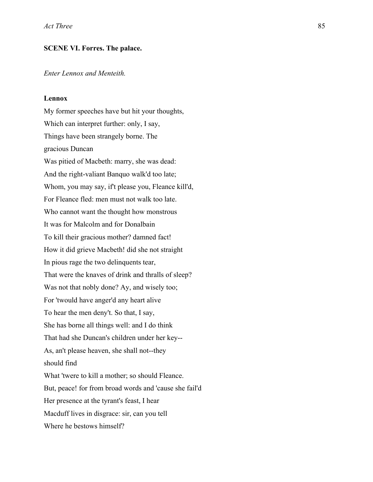#### **SCENE VI. Forres. The palace.**

*Enter Lennox and Menteith.*

#### **Lennox**

My former speeches have but hit your thoughts, Which can interpret further: only, I say, Things have been strangely borne. The gracious Duncan Was pitied of Macbeth: marry, she was dead: And the right-valiant Banquo walk'd too late; Whom, you may say, if't please you, Fleance kill'd, For Fleance fled: men must not walk too late. Who cannot want the thought how monstrous It was for Malcolm and for Donalbain To kill their gracious mother? damned fact! How it did grieve Macbeth! did she not straight In pious rage the two delinquents tear, That were the knaves of drink and thralls of sleep? Was not that nobly done? Ay, and wisely too; For 'twould have anger'd any heart alive To hear the men deny't. So that, I say, She has borne all things well: and I do think That had she Duncan's children under her key-- As, an't please heaven, she shall not--they should find What 'twere to kill a mother; so should Fleance. But, peace! for from broad words and 'cause she fail'd Her presence at the tyrant's feast, I hear Macduff lives in disgrace: sir, can you tell Where he bestows himself?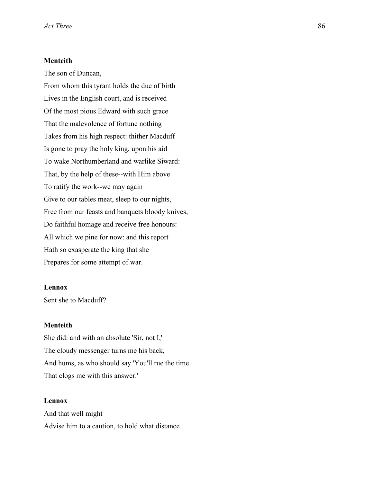## **Menteith**

The son of Duncan,

From whom this tyrant holds the due of birth Lives in the English court, and is received Of the most pious Edward with such grace That the malevolence of fortune nothing Takes from his high respect: thither Macduff Is gone to pray the holy king, upon his aid To wake Northumberland and warlike Siward: That, by the help of these--with Him above To ratify the work--we may again Give to our tables meat, sleep to our nights, Free from our feasts and banquets bloody knives, Do faithful homage and receive free honours: All which we pine for now: and this report Hath so exasperate the king that she Prepares for some attempt of war.

#### **Lennox**

Sent she to Macduff?

### **Menteith**

She did: and with an absolute 'Sir, not I,' The cloudy messenger turns me his back, And hums, as who should say 'You'll rue the time That clogs me with this answer.'

#### **Lennox**

And that well might Advise him to a caution, to hold what distance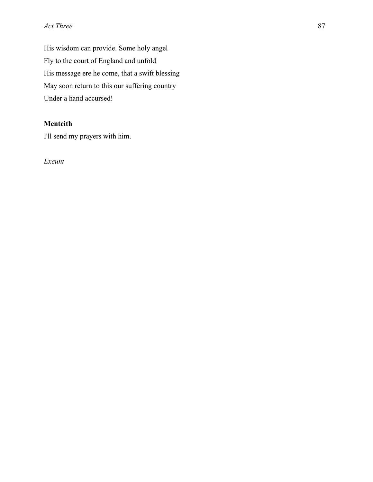His wisdom can provide. Some holy angel Fly to the court of England and unfold His message ere he come, that a swift blessing May soon return to this our suffering country Under a hand accursed!

# **Menteith**

I'll send my prayers with him.

*Exeunt*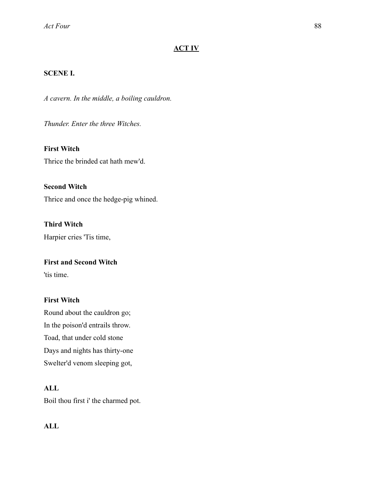## **ACT IV**

### **SCENE I.**

*A cavern. In the middle, a boiling cauldron.* 

*Thunder. Enter the three Witches.* 

**First Witch**  Thrice the brinded cat hath mew'd.

**Second Witch**  Thrice and once the hedge-pig whined.

**Third Witch**  Harpier cries 'Tis time,

## **First and Second Witch**

'tis time.

### **First Witch**

Round about the cauldron go; In the poison'd entrails throw. Toad, that under cold stone Days and nights has thirty-one Swelter'd venom sleeping got,

### **ALL**

Boil thou first i' the charmed pot.

# **ALL**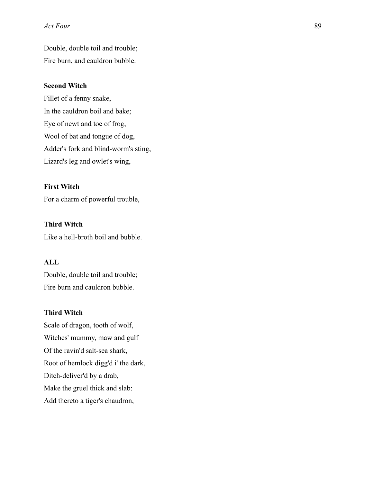Double, double toil and trouble; Fire burn, and cauldron bubble.

#### **Second Witch**

Fillet of a fenny snake, In the cauldron boil and bake; Eye of newt and toe of frog, Wool of bat and tongue of dog, Adder's fork and blind-worm's sting, Lizard's leg and owlet's wing,

#### **First Witch**

For a charm of powerful trouble,

### **Third Witch**

Like a hell-broth boil and bubble.

## **ALL**

Double, double toil and trouble; Fire burn and cauldron bubble.

### **Third Witch**

Scale of dragon, tooth of wolf, Witches' mummy, maw and gulf Of the ravin'd salt-sea shark, Root of hemlock digg'd i' the dark, Ditch-deliver'd by a drab, Make the gruel thick and slab: Add thereto a tiger's chaudron,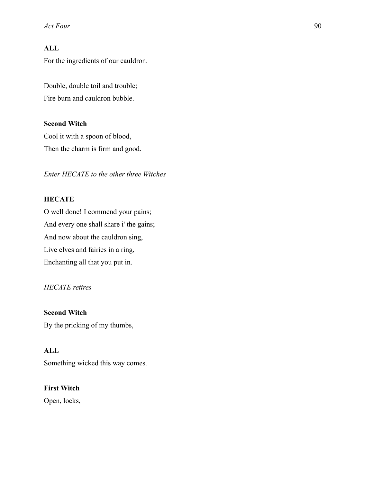# **ALL**

For the ingredients of our cauldron.

Double, double toil and trouble; Fire burn and cauldron bubble.

### **Second Witch**

Cool it with a spoon of blood, Then the charm is firm and good.

*Enter HECATE to the other three Witches* 

# **HECATE**

O well done! I commend your pains; And every one shall share i' the gains; And now about the cauldron sing, Live elves and fairies in a ring, Enchanting all that you put in.

## *HECATE retires*

**Second Witch**  By the pricking of my thumbs,

## **ALL**

Something wicked this way comes.

### **First Witch**

Open, locks,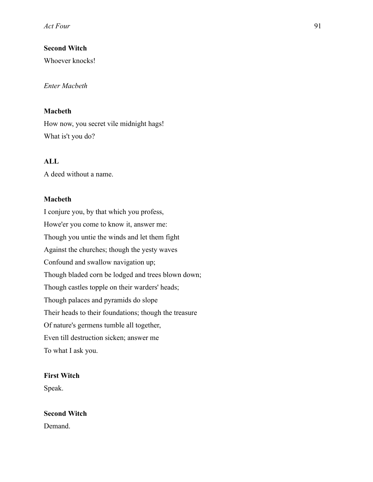## **Second Witch**

Whoever knocks!

### *Enter Macbeth*

## **Macbeth**

How now, you secret vile midnight hags! What is't you do?

## **ALL**

A deed without a name.

### **Macbeth**

I conjure you, by that which you profess, Howe'er you come to know it, answer me: Though you untie the winds and let them fight Against the churches; though the yesty waves Confound and swallow navigation up; Though bladed corn be lodged and trees blown down; Though castles topple on their warders' heads; Though palaces and pyramids do slope Their heads to their foundations; though the treasure Of nature's germens tumble all together, Even till destruction sicken; answer me To what I ask you.

### **First Witch**

Speak.

### **Second Witch**

Demand.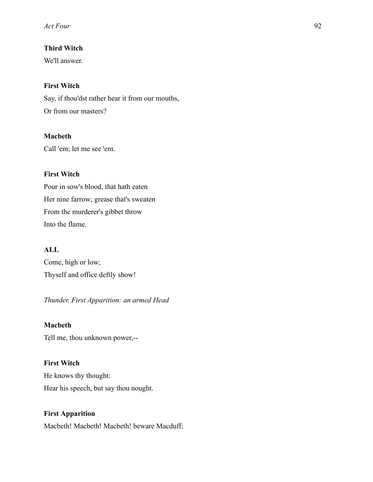# **Third Witch**

We'll answer.

# **First Witch**

Say, if thou'dst rather hear it from our mouths, Or from our masters?

## **Macbeth**

Call 'em; let me see 'em.

# **First Witch**

Pour in sow's blood, that hath eaten Her nine farrow; grease that's sweaten From the murderer's gibbet throw Into the flame.

## **ALL**

Come, high or low; Thyself and office deftly show!

# *Thunder. First Apparition: an armed Head*

## **Macbeth**

Tell me, thou unknown power,--

# **First Witch**

He knows thy thought: Hear his speech, but say thou nought.

# **First Apparition**

Macbeth! Macbeth! Macbeth! beware Macduff;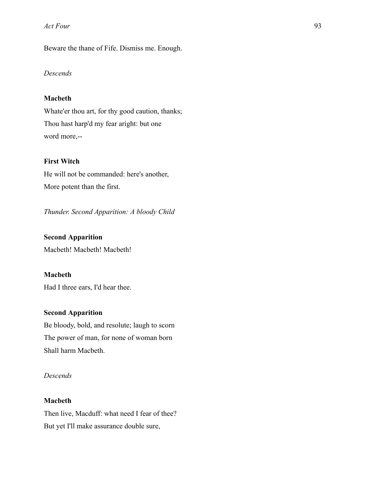Beware the thane of Fife. Dismiss me. Enough.

## *Descends*

### **Macbeth**

Whate'er thou art, for thy good caution, thanks; Thou hast harp'd my fear aright: but one word more,--

#### **First Witch**

He will not be commanded: here's another, More potent than the first.

*Thunder. Second Apparition: A bloody Child* 

#### **Second Apparition**

Macbeth! Macbeth! Macbeth!

### **Macbeth**

Had I three ears, I'd hear thee.

## **Second Apparition**

Be bloody, bold, and resolute; laugh to scorn The power of man, for none of woman born Shall harm Macbeth.

## *Descends*

#### **Macbeth**

Then live, Macduff: what need I fear of thee? But yet I'll make assurance double sure,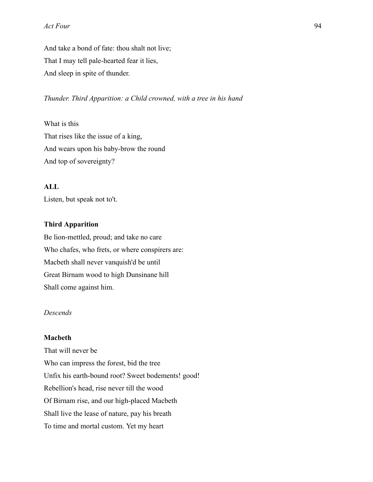And take a bond of fate: thou shalt not live; That I may tell pale-hearted fear it lies, And sleep in spite of thunder.

*Thunder. Third Apparition: a Child crowned, with a tree in his hand* 

What is this That rises like the issue of a king, And wears upon his baby-brow the round And top of sovereignty?

## **ALL**

Listen, but speak not to't.

#### **Third Apparition**

Be lion-mettled, proud; and take no care Who chafes, who frets, or where conspirers are: Macbeth shall never vanquish'd be until Great Birnam wood to high Dunsinane hill Shall come against him.

## *Descends*

#### **Macbeth**

That will never be Who can impress the forest, bid the tree Unfix his earth-bound root? Sweet bodements! good! Rebellion's head, rise never till the wood Of Birnam rise, and our high-placed Macbeth Shall live the lease of nature, pay his breath To time and mortal custom. Yet my heart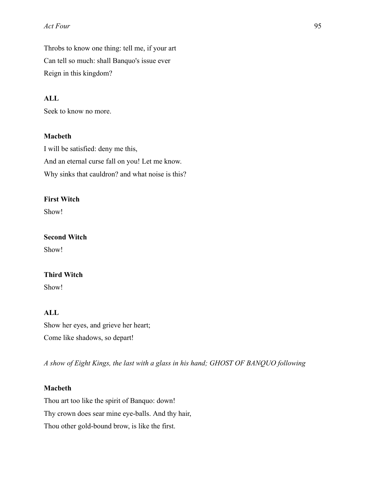Throbs to know one thing: tell me, if your art Can tell so much: shall Banquo's issue ever Reign in this kingdom?

## **ALL**

Seek to know no more.

### **Macbeth**

I will be satisfied: deny me this, And an eternal curse fall on you! Let me know. Why sinks that cauldron? and what noise is this?

### **First Witch**

Show!

#### **Second Witch**

Show!

## **Third Witch**

Show!

# **ALL**

Show her eyes, and grieve her heart; Come like shadows, so depart!

*A show of Eight Kings, the last with a glass in his hand; GHOST OF BANQUO following* 

### **Macbeth**

Thou art too like the spirit of Banquo: down! Thy crown does sear mine eye-balls. And thy hair, Thou other gold-bound brow, is like the first.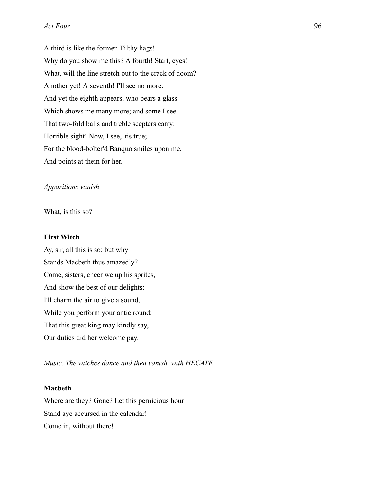A third is like the former. Filthy hags! Why do you show me this? A fourth! Start, eyes! What, will the line stretch out to the crack of doom? Another yet! A seventh! I'll see no more: And yet the eighth appears, who bears a glass Which shows me many more; and some I see That two-fold balls and treble scepters carry: Horrible sight! Now, I see, 'tis true; For the blood-bolter'd Banquo smiles upon me, And points at them for her.

#### *Apparitions vanish*

What, is this so?

#### **First Witch**

Ay, sir, all this is so: but why Stands Macbeth thus amazedly? Come, sisters, cheer we up his sprites, And show the best of our delights: I'll charm the air to give a sound, While you perform your antic round: That this great king may kindly say, Our duties did her welcome pay.

*Music. The witches dance and then vanish, with HECATE* 

#### **Macbeth**

Where are they? Gone? Let this pernicious hour Stand aye accursed in the calendar! Come in, without there!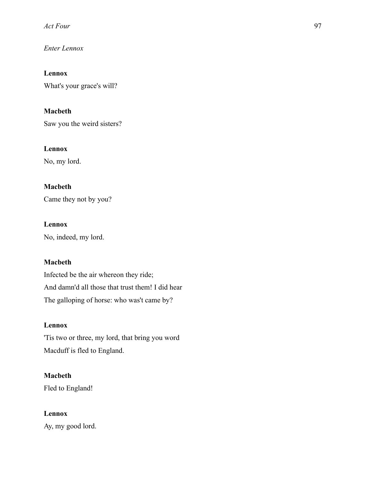*Enter Lennox* 

**Lennox** 

What's your grace's will?

## **Macbeth**

Saw you the weird sisters?

## **Lennox**

No, my lord.

# **Macbeth**

Came they not by you?

## **Lennox**

No, indeed, my lord.

## **Macbeth**

Infected be the air whereon they ride; And damn'd all those that trust them! I did hear The galloping of horse: who was't came by?

## **Lennox**

'Tis two or three, my lord, that bring you word Macduff is fled to England.

# **Macbeth**

Fled to England!

# **Lennox**

Ay, my good lord.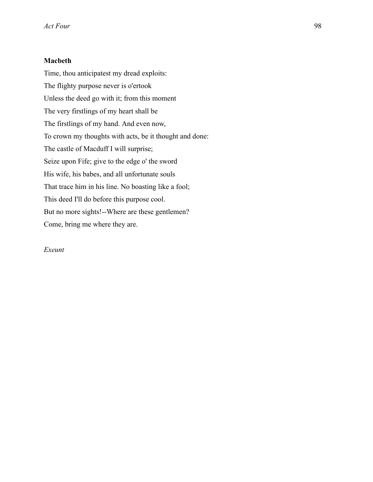## **Macbeth**

Time, thou anticipatest my dread exploits: The flighty purpose never is o'ertook Unless the deed go with it; from this moment The very firstlings of my heart shall be The firstlings of my hand. And even now, To crown my thoughts with acts, be it thought and done: The castle of Macduff I will surprise; Seize upon Fife; give to the edge o' the sword His wife, his babes, and all unfortunate souls That trace him in his line. No boasting like a fool; This deed I'll do before this purpose cool. But no more sights!--Where are these gentlemen? Come, bring me where they are.

*Exeunt*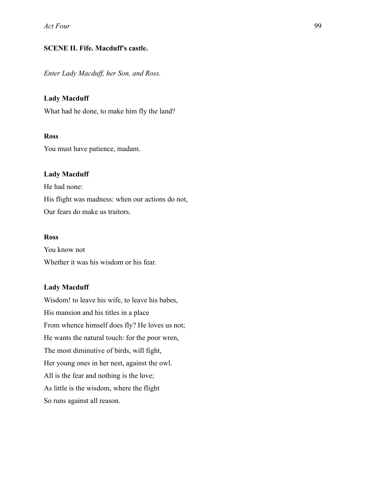## **SCENE II. Fife. Macduff's castle.**

*Enter Lady Macduff, her Son, and Ross.* 

### **Lady Macduff**

What had he done, to make him fly the land?

### **Ross**

You must have patience, madam.

### **Lady Macduff**

He had none: His flight was madness: when our actions do not, Our fears do make us traitors.

#### **Ross**

You know not Whether it was his wisdom or his fear.

### **Lady Macduff**

Wisdom! to leave his wife, to leave his babes, His mansion and his titles in a place From whence himself does fly? He loves us not; He wants the natural touch: for the poor wren, The most diminutive of birds, will fight, Her young ones in her nest, against the owl. All is the fear and nothing is the love; As little is the wisdom, where the flight So runs against all reason.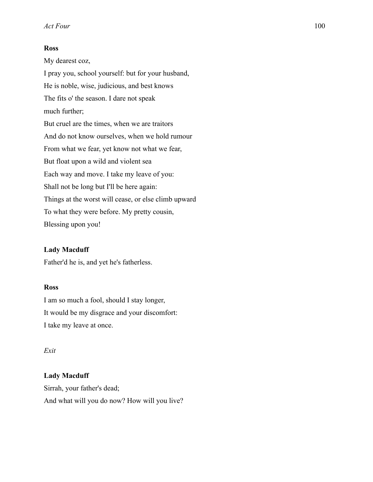#### **Ross**

My dearest coz, I pray you, school yourself: but for your husband, He is noble, wise, judicious, and best knows The fits o' the season. I dare not speak much further; But cruel are the times, when we are traitors And do not know ourselves, when we hold rumour From what we fear, yet know not what we fear, But float upon a wild and violent sea Each way and move. I take my leave of you: Shall not be long but I'll be here again: Things at the worst will cease, or else climb upward To what they were before. My pretty cousin, Blessing upon you!

### **Lady Macduff**

Father'd he is, and yet he's fatherless.

#### **Ross**

I am so much a fool, should I stay longer, It would be my disgrace and your discomfort: I take my leave at once.

#### *Exit*

#### **Lady Macduff**

Sirrah, your father's dead; And what will you do now? How will you live?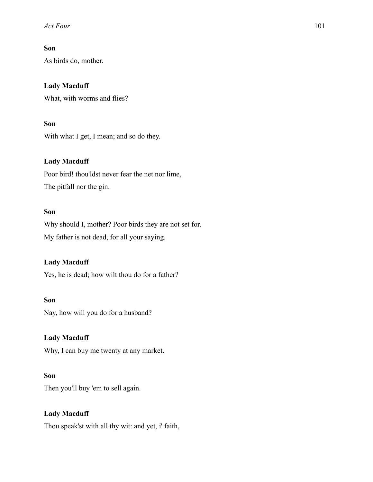## **Son**

As birds do, mother.

## **Lady Macduff**

What, with worms and flies?

# **Son**

With what I get, I mean; and so do they.

## **Lady Macduff**

Poor bird! thou'ldst never fear the net nor lime, The pitfall nor the gin.

## **Son**

Why should I, mother? Poor birds they are not set for. My father is not dead, for all your saying.

## **Lady Macduff**

Yes, he is dead; how wilt thou do for a father?

### **Son**

Nay, how will you do for a husband?

### **Lady Macduff**

Why, I can buy me twenty at any market.

## **Son**

Then you'll buy 'em to sell again.

# **Lady Macduff**

Thou speak'st with all thy wit: and yet, i' faith,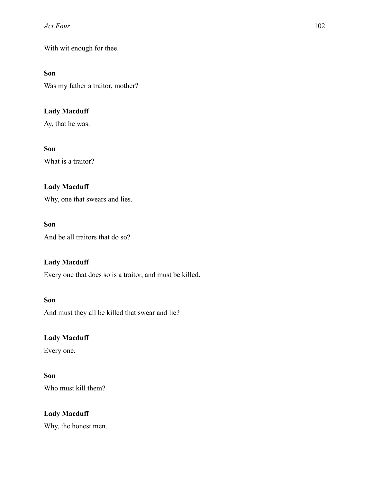With wit enough for thee.

## **Son**

Was my father a traitor, mother?

# **Lady Macduff**

Ay, that he was.

## **Son**

What is a traitor?

# **Lady Macduff**

Why, one that swears and lies.

# **Son**

And be all traitors that do so?

# **Lady Macduff**

Every one that does so is a traitor, and must be killed.

# **Son**

And must they all be killed that swear and lie?

# **Lady Macduff**

Every one.

# **Son**

Who must kill them?

# **Lady Macduff**

Why, the honest men.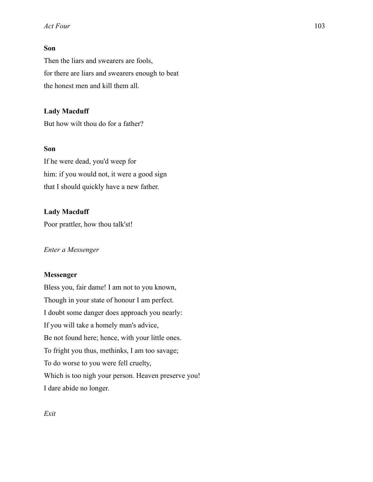### **Son**

Then the liars and swearers are fools, for there are liars and swearers enough to beat the honest men and kill them all.

### **Lady Macduff**

But how wilt thou do for a father?

## **Son**

If he were dead, you'd weep for him: if you would not, it were a good sign that I should quickly have a new father.

## **Lady Macduff**

Poor prattler, how thou talk'st!

### *Enter a Messenger*

### **Messenger**

Bless you, fair dame! I am not to you known, Though in your state of honour I am perfect. I doubt some danger does approach you nearly: If you will take a homely man's advice, Be not found here; hence, with your little ones. To fright you thus, methinks, I am too savage; To do worse to you were fell cruelty, Which is too nigh your person. Heaven preserve you! I dare abide no longer.

*Exit*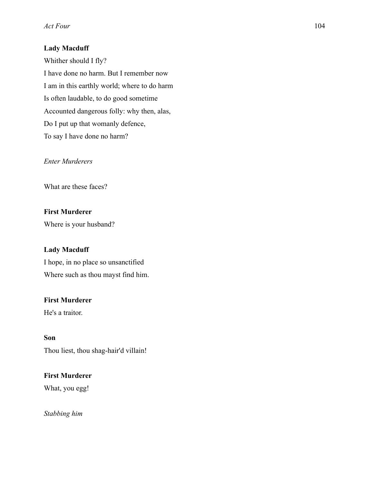# **Lady Macduff**

Whither should I fly? I have done no harm. But I remember now I am in this earthly world; where to do harm Is often laudable, to do good sometime Accounted dangerous folly: why then, alas, Do I put up that womanly defence, To say I have done no harm?

## *Enter Murderers*

What are these faces?

# **First Murderer**

Where is your husband?

## **Lady Macduff**

I hope, in no place so unsanctified Where such as thou mayst find him.

## **First Murderer**

He's a traitor.

**Son**  Thou liest, thou shag-hair'd villain!

## **First Murderer**

What, you egg!

*Stabbing him*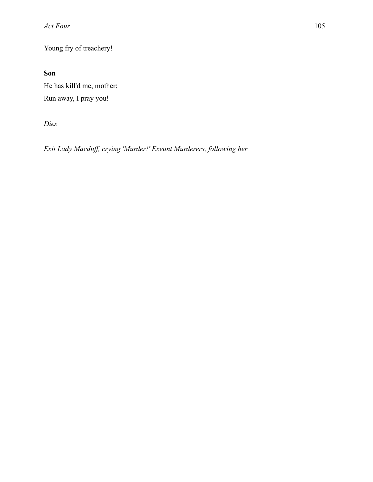Young fry of treachery!

**Son** 

He has kill'd me, mother: Run away, I pray you!

*Dies* 

*Exit Lady Macduff, crying 'Murder!' Exeunt Murderers, following her*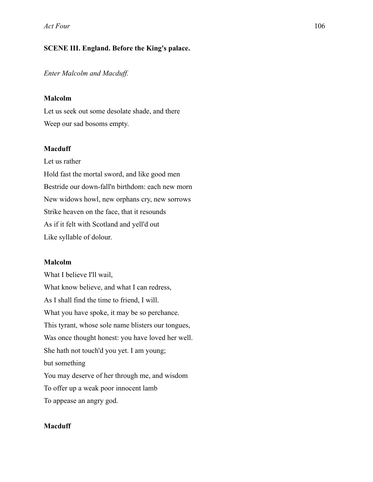## **SCENE III. England. Before the King's palace.**

*Enter Malcolm and Macduff.* 

#### **Malcolm**

Let us seek out some desolate shade, and there Weep our sad bosoms empty.

### **Macduff**

Let us rather

Hold fast the mortal sword, and like good men Bestride our down-fall'n birthdom: each new morn New widows howl, new orphans cry, new sorrows Strike heaven on the face, that it resounds As if it felt with Scotland and yell'd out Like syllable of dolour.

#### **Malcolm**

What I believe I'll wail, What know believe, and what I can redress, As I shall find the time to friend, I will. What you have spoke, it may be so perchance. This tyrant, whose sole name blisters our tongues, Was once thought honest: you have loved her well. She hath not touch'd you yet. I am young; but something You may deserve of her through me, and wisdom To offer up a weak poor innocent lamb To appease an angry god.

## **Macduff**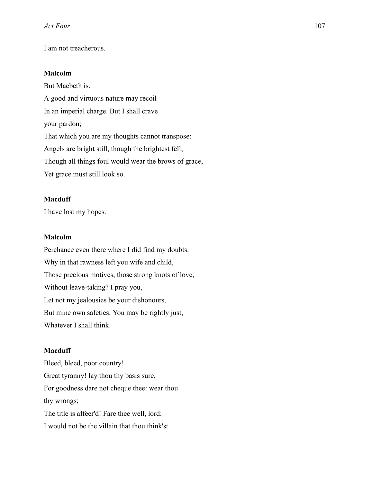I am not treacherous.

#### **Malcolm**

But Macbeth is. A good and virtuous nature may recoil In an imperial charge. But I shall crave your pardon; That which you are my thoughts cannot transpose: Angels are bright still, though the brightest fell; Though all things foul would wear the brows of grace, Yet grace must still look so.

## **Macduff**

I have lost my hopes.

## **Malcolm**

Perchance even there where I did find my doubts. Why in that rawness left you wife and child, Those precious motives, those strong knots of love, Without leave-taking? I pray you, Let not my jealousies be your dishonours, But mine own safeties. You may be rightly just, Whatever I shall think.

#### **Macduff**

Bleed, bleed, poor country! Great tyranny! lay thou thy basis sure, For goodness dare not cheque thee: wear thou thy wrongs; The title is affeer'd! Fare thee well, lord: I would not be the villain that thou think'st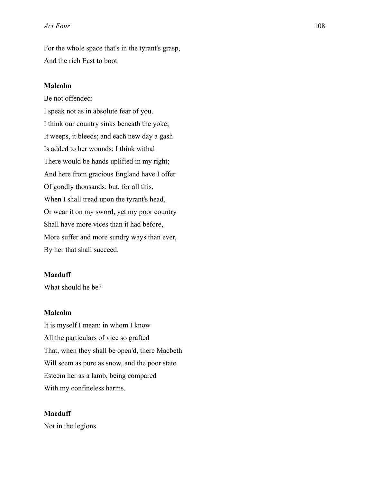For the whole space that's in the tyrant's grasp, And the rich East to boot.

#### **Malcolm**

Be not offended:

I speak not as in absolute fear of you. I think our country sinks beneath the yoke; It weeps, it bleeds; and each new day a gash Is added to her wounds: I think withal There would be hands uplifted in my right; And here from gracious England have I offer Of goodly thousands: but, for all this, When I shall tread upon the tyrant's head, Or wear it on my sword, yet my poor country Shall have more vices than it had before, More suffer and more sundry ways than ever, By her that shall succeed.

## **Macduff**

What should he be?

## **Malcolm**

It is myself I mean: in whom I know All the particulars of vice so grafted That, when they shall be open'd, there Macbeth Will seem as pure as snow, and the poor state Esteem her as a lamb, being compared With my confineless harms.

#### **Macduff**

Not in the legions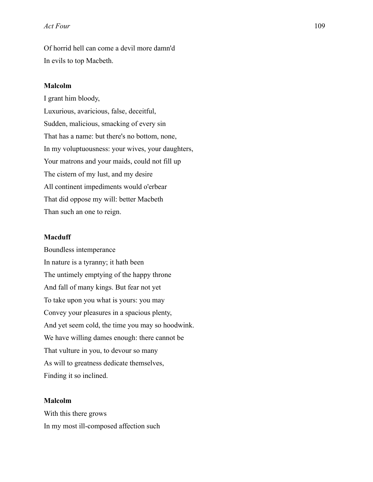Of horrid hell can come a devil more damn'd In evils to top Macbeth.

#### **Malcolm**

I grant him bloody, Luxurious, avaricious, false, deceitful, Sudden, malicious, smacking of every sin That has a name: but there's no bottom, none, In my voluptuousness: your wives, your daughters, Your matrons and your maids, could not fill up The cistern of my lust, and my desire All continent impediments would o'erbear That did oppose my will: better Macbeth Than such an one to reign.

#### **Macduff**

Boundless intemperance In nature is a tyranny; it hath been The untimely emptying of the happy throne And fall of many kings. But fear not yet To take upon you what is yours: you may Convey your pleasures in a spacious plenty, And yet seem cold, the time you may so hoodwink. We have willing dames enough: there cannot be That vulture in you, to devour so many As will to greatness dedicate themselves, Finding it so inclined.

#### **Malcolm**

With this there grows In my most ill-composed affection such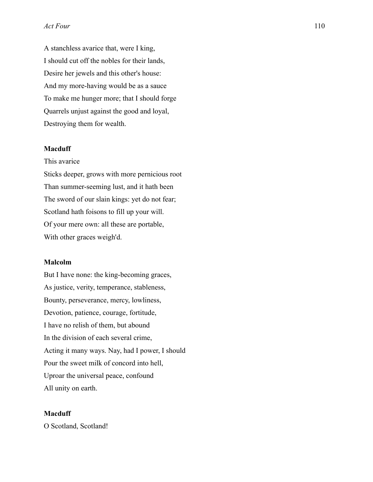A stanchless avarice that, were I king, I should cut off the nobles for their lands, Desire her jewels and this other's house: And my more-having would be as a sauce To make me hunger more; that I should forge Quarrels unjust against the good and loyal, Destroying them for wealth.

## **Macduff**

This avarice

Sticks deeper, grows with more pernicious root Than summer-seeming lust, and it hath been The sword of our slain kings: yet do not fear; Scotland hath foisons to fill up your will. Of your mere own: all these are portable, With other graces weigh'd.

### **Malcolm**

But I have none: the king-becoming graces, As justice, verity, temperance, stableness, Bounty, perseverance, mercy, lowliness, Devotion, patience, courage, fortitude, I have no relish of them, but abound In the division of each several crime, Acting it many ways. Nay, had I power, I should Pour the sweet milk of concord into hell, Uproar the universal peace, confound All unity on earth.

#### **Macduff**

O Scotland, Scotland!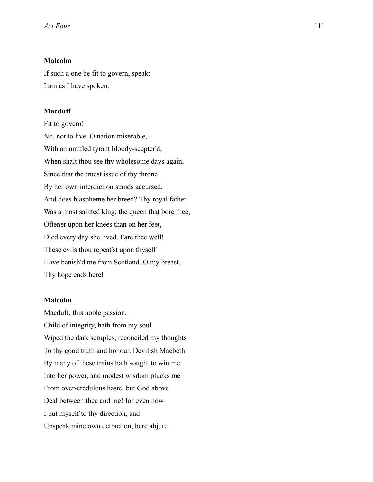## **Malcolm**

If such a one be fit to govern, speak: I am as I have spoken.

### **Macduff**

Fit to govern! No, not to live. O nation miserable, With an untitled tyrant bloody-scepter'd, When shalt thou see thy wholesome days again, Since that the truest issue of thy throne By her own interdiction stands accursed, And does blaspheme her breed? Thy royal father Was a most sainted king: the queen that bore thee, Oftener upon her knees than on her feet, Died every day she lived. Fare thee well! These evils thou repeat'st upon thyself Have banish'd me from Scotland. O my breast, Thy hope ends here!

#### **Malcolm**

Macduff, this noble passion, Child of integrity, hath from my soul Wiped the dark scruples, reconciled my thoughts To thy good truth and honour. Devilish Macbeth By many of these trains hath sought to win me Into her power, and modest wisdom plucks me From over-credulous haste: but God above Deal between thee and me! for even now I put myself to thy direction, and Unspeak mine own detraction, here abjure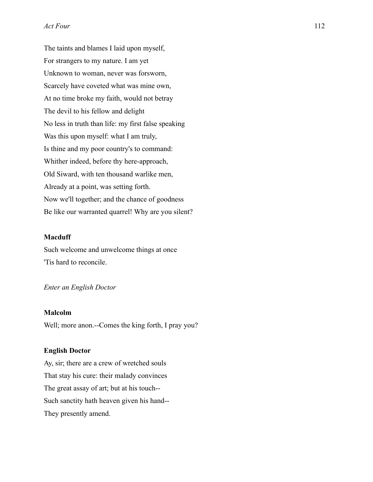The taints and blames I laid upon myself, For strangers to my nature. I am yet Unknown to woman, never was forsworn, Scarcely have coveted what was mine own, At no time broke my faith, would not betray The devil to his fellow and delight No less in truth than life: my first false speaking Was this upon myself: what I am truly, Is thine and my poor country's to command: Whither indeed, before thy here-approach, Old Siward, with ten thousand warlike men, Already at a point, was setting forth. Now we'll together; and the chance of goodness Be like our warranted quarrel! Why are you silent?

#### **Macduff**

Such welcome and unwelcome things at once 'Tis hard to reconcile.

### *Enter an English Doctor*

### **Malcolm**

Well; more anon.--Comes the king forth, I pray you?

#### **English Doctor**

Ay, sir; there are a crew of wretched souls That stay his cure: their malady convinces The great assay of art; but at his touch-- Such sanctity hath heaven given his hand-- They presently amend.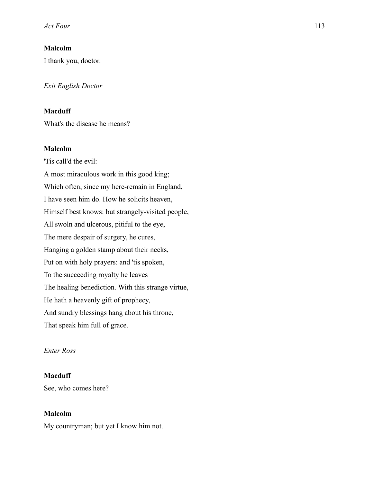## **Malcolm**

I thank you, doctor.

*Exit English Doctor* 

## **Macduff**

What's the disease he means?

## **Malcolm**

'Tis call'd the evil: A most miraculous work in this good king; Which often, since my here-remain in England, I have seen him do. How he solicits heaven, Himself best knows: but strangely-visited people, All swoln and ulcerous, pitiful to the eye, The mere despair of surgery, he cures, Hanging a golden stamp about their necks, Put on with holy prayers: and 'tis spoken, To the succeeding royalty he leaves The healing benediction. With this strange virtue, He hath a heavenly gift of prophecy, And sundry blessings hang about his throne, That speak him full of grace.

## *Enter Ross*

## **Macduff**

See, who comes here?

#### **Malcolm**

My countryman; but yet I know him not.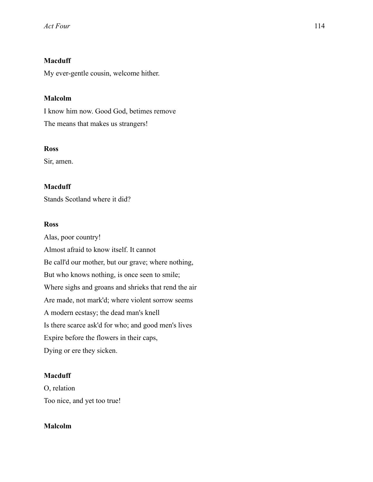# **Macduff**

My ever-gentle cousin, welcome hither.

# **Malcolm**

I know him now. Good God, betimes remove The means that makes us strangers!

## **Ross**

Sir, amen.

# **Macduff**

Stands Scotland where it did?

# **Ross**

Alas, poor country! Almost afraid to know itself. It cannot Be call'd our mother, but our grave; where nothing, But who knows nothing, is once seen to smile; Where sighs and groans and shrieks that rend the air Are made, not mark'd; where violent sorrow seems A modern ecstasy; the dead man's knell Is there scarce ask'd for who; and good men's lives Expire before the flowers in their caps, Dying or ere they sicken.

# **Macduff**

O, relation Too nice, and yet too true!

# **Malcolm**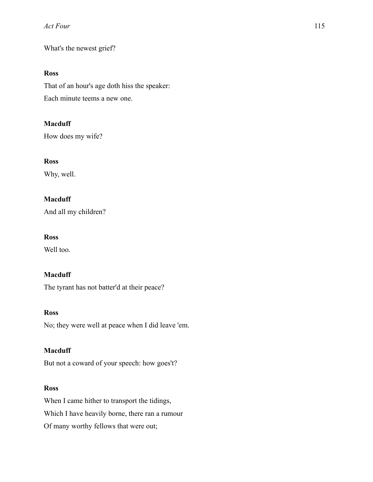What's the newest grief?

## **Ross**

That of an hour's age doth hiss the speaker: Each minute teems a new one.

## **Macduff**

How does my wife?

## **Ross**

Why, well.

# **Macduff**

And all my children?

## **Ross**

Well too.

## **Macduff**

The tyrant has not batter'd at their peace?

# **Ross**

No; they were well at peace when I did leave 'em.

### **Macduff**

But not a coward of your speech: how goes't?

## **Ross**

When I came hither to transport the tidings, Which I have heavily borne, there ran a rumour Of many worthy fellows that were out;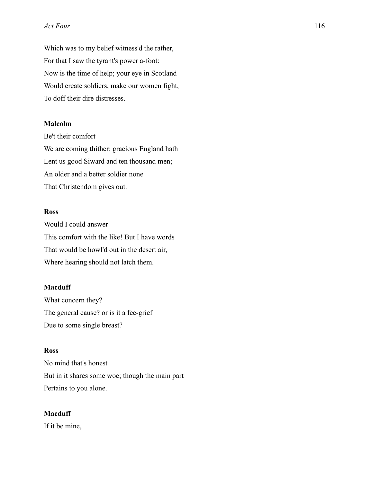Which was to my belief witness'd the rather, For that I saw the tyrant's power a-foot: Now is the time of help; your eye in Scotland Would create soldiers, make our women fight, To doff their dire distresses.

## **Malcolm**

Be't their comfort We are coming thither: gracious England hath Lent us good Siward and ten thousand men; An older and a better soldier none That Christendom gives out.

### **Ross**

Would I could answer This comfort with the like! But I have words That would be howl'd out in the desert air, Where hearing should not latch them.

### **Macduff**

What concern they? The general cause? or is it a fee-grief Due to some single breast?

#### **Ross**

No mind that's honest But in it shares some woe; though the main part Pertains to you alone.

### **Macduff**

If it be mine,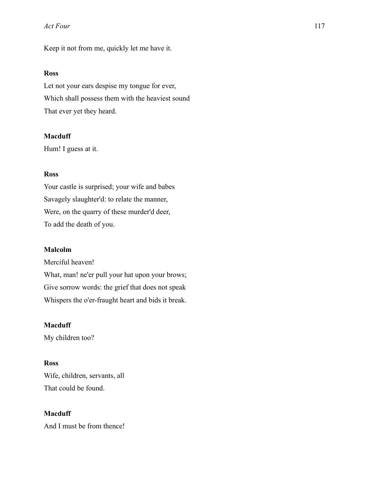Keep it not from me, quickly let me have it.

## **Ross**

Let not your ears despise my tongue for ever, Which shall possess them with the heaviest sound That ever yet they heard.

### **Macduff**

Hum! I guess at it.

## **Ross**

Your castle is surprised; your wife and babes Savagely slaughter'd: to relate the manner, Were, on the quarry of these murder'd deer, To add the death of you.

#### **Malcolm**

Merciful heaven! What, man! ne'er pull your hat upon your brows; Give sorrow words: the grief that does not speak Whispers the o'er-fraught heart and bids it break.

## **Macduff**

My children too?

## **Ross**

Wife, children, servants, all That could be found.

### **Macduff**

And I must be from thence!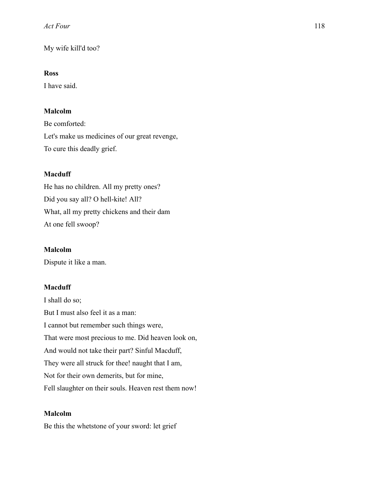My wife kill'd too?

# **Ross**

I have said.

# **Malcolm**

Be comforted: Let's make us medicines of our great revenge, To cure this deadly grief.

# **Macduff**

He has no children. All my pretty ones? Did you say all? O hell-kite! All? What, all my pretty chickens and their dam At one fell swoop?

# **Malcolm**

Dispute it like a man.

# **Macduff**

I shall do so; But I must also feel it as a man: I cannot but remember such things were, That were most precious to me. Did heaven look on, And would not take their part? Sinful Macduff, They were all struck for thee! naught that I am, Not for their own demerits, but for mine, Fell slaughter on their souls. Heaven rest them now!

# **Malcolm**

Be this the whetstone of your sword: let grief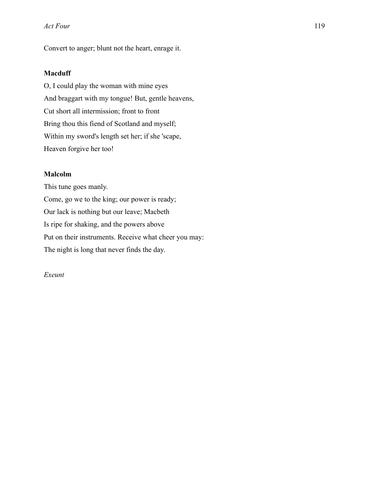Convert to anger; blunt not the heart, enrage it.

## **Macduff**

O, I could play the woman with mine eyes And braggart with my tongue! But, gentle heavens, Cut short all intermission; front to front Bring thou this fiend of Scotland and myself; Within my sword's length set her; if she 'scape, Heaven forgive her too!

### **Malcolm**

This tune goes manly. Come, go we to the king; our power is ready; Our lack is nothing but our leave; Macbeth Is ripe for shaking, and the powers above Put on their instruments. Receive what cheer you may: The night is long that never finds the day.

## *Exeunt*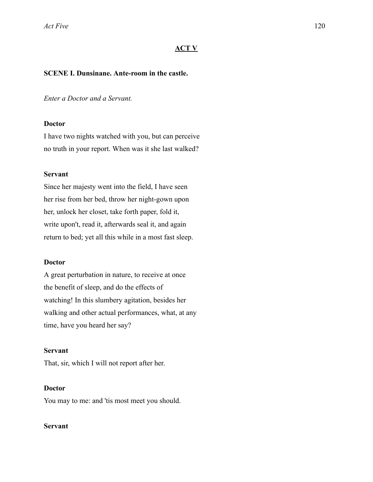### **ACT V**

### **SCENE I. Dunsinane. Ante-room in the castle.**

### *Enter a Doctor and a Servant.*

#### **Doctor**

I have two nights watched with you, but can perceive no truth in your report. When was it she last walked?

### **Servant**

Since her majesty went into the field, I have seen her rise from her bed, throw her night-gown upon her, unlock her closet, take forth paper, fold it, write upon't, read it, afterwards seal it, and again return to bed; yet all this while in a most fast sleep.

#### **Doctor**

A great perturbation in nature, to receive at once the benefit of sleep, and do the effects of watching! In this slumbery agitation, besides her walking and other actual performances, what, at any time, have you heard her say?

#### **Servant**

That, sir, which I will not report after her.

### **Doctor**

You may to me: and 'tis most meet you should.

## **Servant**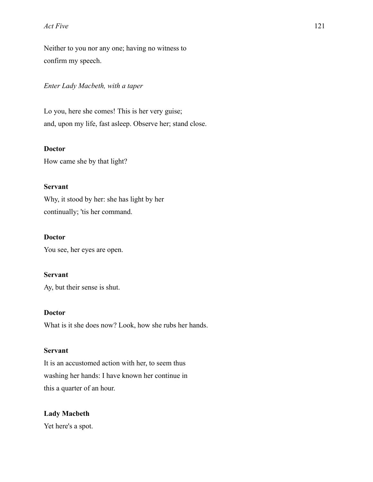### *Act Five* 121

Neither to you nor any one; having no witness to confirm my speech.

## *Enter Lady Macbeth, with a taper*

Lo you, here she comes! This is her very guise; and, upon my life, fast asleep. Observe her; stand close.

## **Doctor**

How came she by that light?

## **Servant**

Why, it stood by her: she has light by her continually; 'tis her command.

## **Doctor**

You see, her eyes are open.

## **Servant**

Ay, but their sense is shut.

## **Doctor**

What is it she does now? Look, how she rubs her hands.

# **Servant**

It is an accustomed action with her, to seem thus washing her hands: I have known her continue in this a quarter of an hour.

# **Lady Macbeth**

Yet here's a spot.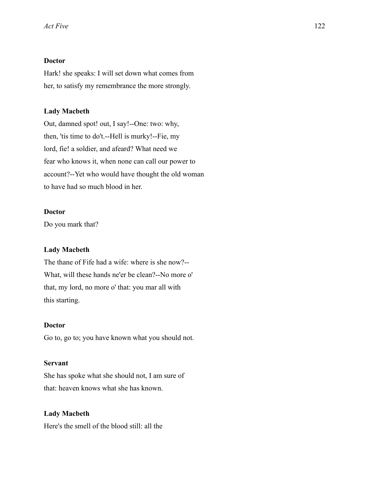## **Doctor**

Hark! she speaks: I will set down what comes from her, to satisfy my remembrance the more strongly.

### **Lady Macbeth**

Out, damned spot! out, I say!--One: two: why, then, 'tis time to do't.--Hell is murky!--Fie, my lord, fie! a soldier, and afeard? What need we fear who knows it, when none can call our power to account?--Yet who would have thought the old woman to have had so much blood in her.

### **Doctor**

Do you mark that?

### **Lady Macbeth**

The thane of Fife had a wife: where is she now?-- What, will these hands ne'er be clean?--No more o' that, my lord, no more o' that: you mar all with this starting.

## **Doctor**

Go to, go to; you have known what you should not.

### **Servant**

She has spoke what she should not, I am sure of that: heaven knows what she has known.

# **Lady Macbeth**  Here's the smell of the blood still: all the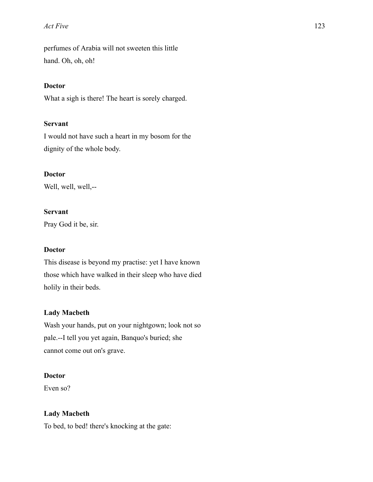### *Act Five* 123

perfumes of Arabia will not sweeten this little hand. Oh, oh, oh!

### **Doctor**

What a sigh is there! The heart is sorely charged.

## **Servant**

I would not have such a heart in my bosom for the dignity of the whole body.

## **Doctor**

Well, well, well,--

### **Servant**

Pray God it be, sir.

### **Doctor**

This disease is beyond my practise: yet I have known those which have walked in their sleep who have died holily in their beds.

## **Lady Macbeth**

Wash your hands, put on your nightgown; look not so pale.--I tell you yet again, Banquo's buried; she cannot come out on's grave.

## **Doctor**

Even so?

## **Lady Macbeth**

To bed, to bed! there's knocking at the gate: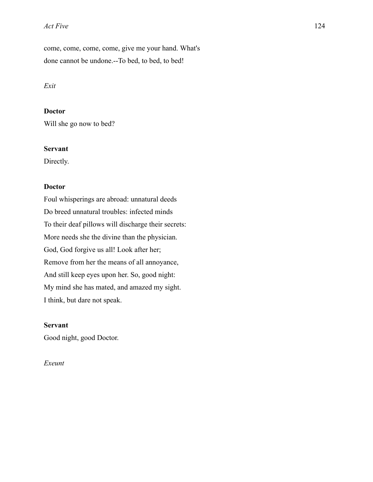#### *Act Five* 124

come, come, come, come, give me your hand. What's done cannot be undone.--To bed, to bed, to bed!

### *Exit*

## **Doctor**

Will she go now to bed?

## **Servant**

Directly.

## **Doctor**

Foul whisperings are abroad: unnatural deeds Do breed unnatural troubles: infected minds To their deaf pillows will discharge their secrets: More needs she the divine than the physician. God, God forgive us all! Look after her; Remove from her the means of all annoyance, And still keep eyes upon her. So, good night: My mind she has mated, and amazed my sight. I think, but dare not speak.

## **Servant**

Good night, good Doctor.

## *Exeunt*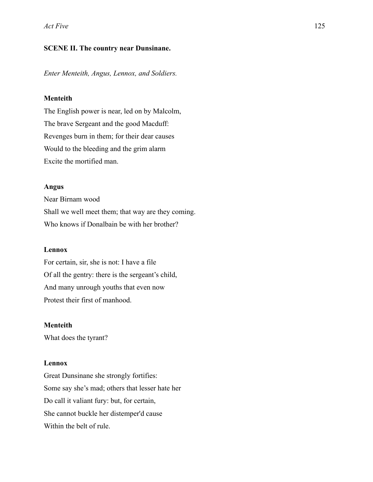## **SCENE II. The country near Dunsinane.**

*Enter Menteith, Angus, Lennox, and Soldiers.* 

### **Menteith**

The English power is near, led on by Malcolm, The brave Sergeant and the good Macduff: Revenges burn in them; for their dear causes Would to the bleeding and the grim alarm Excite the mortified man.

#### **Angus**

Near Birnam wood Shall we well meet them; that way are they coming. Who knows if Donalbain be with her brother?

### **Lennox**

For certain, sir, she is not: I have a file Of all the gentry: there is the sergeant's child, And many unrough youths that even now Protest their first of manhood.

## **Menteith**

What does the tyrant?

#### **Lennox**

Great Dunsinane she strongly fortifies: Some say she's mad; others that lesser hate her Do call it valiant fury: but, for certain, She cannot buckle her distemper'd cause Within the belt of rule.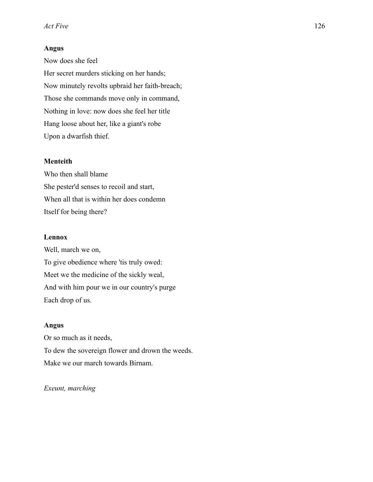## **Angus**

Now does she feel Her secret murders sticking on her hands; Now minutely revolts upbraid her faith-breach; Those she commands move only in command, Nothing in love: now does she feel her title Hang loose about her, like a giant's robe Upon a dwarfish thief.

### **Menteith**

Who then shall blame She pester'd senses to recoil and start, When all that is within her does condemn Itself for being there?

### **Lennox**

Well, march we on, To give obedience where 'tis truly owed: Meet we the medicine of the sickly weal, And with him pour we in our country's purge Each drop of us.

### **Angus**

Or so much as it needs, To dew the sovereign flower and drown the weeds. Make we our march towards Birnam.

#### *Exeunt, marching*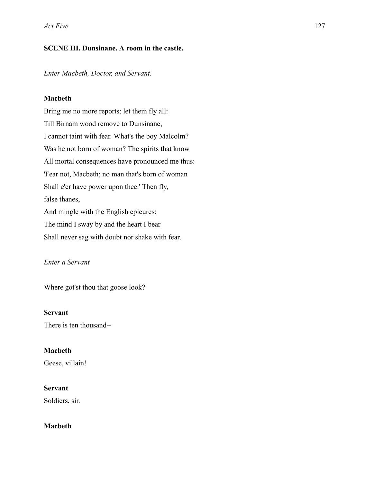# **SCENE III. Dunsinane. A room in the castle.**

*Enter Macbeth, Doctor, and Servant.* 

# **Macbeth**

Bring me no more reports; let them fly all: Till Birnam wood remove to Dunsinane, I cannot taint with fear. What's the boy Malcolm? Was he not born of woman? The spirits that know All mortal consequences have pronounced me thus: 'Fear not, Macbeth; no man that's born of woman Shall e'er have power upon thee.' Then fly, false thanes, And mingle with the English epicures: The mind I sway by and the heart I bear Shall never sag with doubt nor shake with fear.

# *Enter a Servant*

Where got'st thou that goose look?

## **Servant**

There is ten thousand--

## **Macbeth**

Geese, villain!

## **Servant**

Soldiers, sir.

# **Macbeth**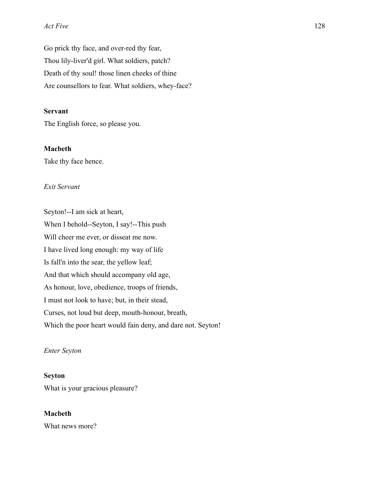#### *Act Five* 128

Go prick thy face, and over-red thy fear, Thou lily-liver'd girl. What soldiers, patch? Death of thy soul! those linen cheeks of thine Are counsellors to fear. What soldiers, whey-face?

## **Servant**

The English force, so please you.

## **Macbeth**

Take thy face hence.

## *Exit Servant*

Seyton!--I am sick at heart, When I behold--Seyton, I say!--This push Will cheer me ever, or disseat me now. I have lived long enough: my way of life Is fall'n into the sear, the yellow leaf; And that which should accompany old age, As honour, love, obedience, troops of friends, I must not look to have; but, in their stead, Curses, not loud but deep, mouth-honour, breath, Which the poor heart would fain deny, and dare not. Seyton!

### *Enter Seyton*

### **Seyton**

What is your gracious pleasure?

### **Macbeth**

What news more?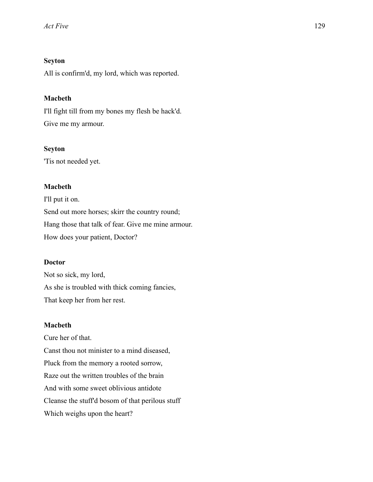# **Seyton**

All is confirm'd, my lord, which was reported.

## **Macbeth**

I'll fight till from my bones my flesh be hack'd. Give me my armour.

### **Seyton**

'Tis not needed yet.

## **Macbeth**

I'll put it on. Send out more horses; skirr the country round; Hang those that talk of fear. Give me mine armour. How does your patient, Doctor?

## **Doctor**

Not so sick, my lord, As she is troubled with thick coming fancies, That keep her from her rest.

## **Macbeth**

Cure her of that. Canst thou not minister to a mind diseased, Pluck from the memory a rooted sorrow, Raze out the written troubles of the brain And with some sweet oblivious antidote Cleanse the stuff'd bosom of that perilous stuff Which weighs upon the heart?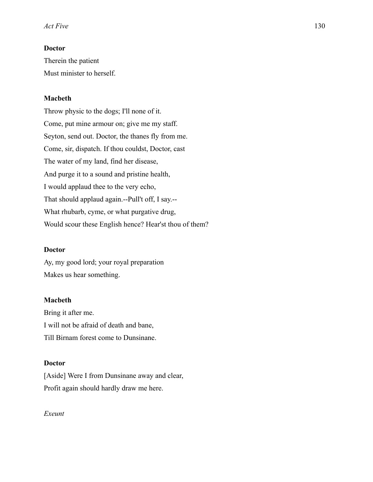# **Doctor**

Therein the patient Must minister to herself.

## **Macbeth**

Throw physic to the dogs; I'll none of it. Come, put mine armour on; give me my staff. Seyton, send out. Doctor, the thanes fly from me. Come, sir, dispatch. If thou couldst, Doctor, cast The water of my land, find her disease, And purge it to a sound and pristine health, I would applaud thee to the very echo, That should applaud again.--Pull't off, I say.-- What rhubarb, cyme, or what purgative drug, Would scour these English hence? Hear'st thou of them?

#### **Doctor**

Ay, my good lord; your royal preparation Makes us hear something.

#### **Macbeth**

Bring it after me. I will not be afraid of death and bane, Till Birnam forest come to Dunsinane.

### **Doctor**

[Aside] Were I from Dunsinane away and clear, Profit again should hardly draw me here.

*Exeunt*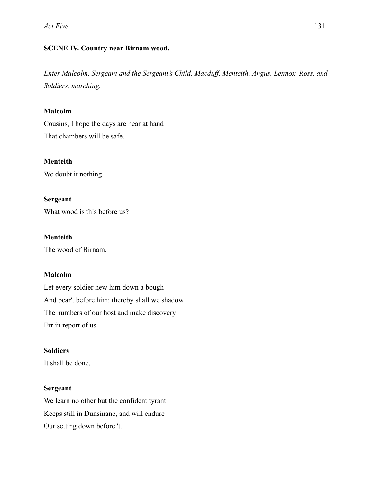# **SCENE IV. Country near Birnam wood.**

*Enter Malcolm, Sergeant and the Sergeant's Child, Macduff, Menteith, Angus, Lennox, Ross, and Soldiers, marching.* 

# **Malcolm**

Cousins, I hope the days are near at hand That chambers will be safe.

## **Menteith**

We doubt it nothing.

**Sergeant** 

What wood is this before us?

**Menteith**  The wood of Birnam.

## **Malcolm**

Let every soldier hew him down a bough And bear't before him: thereby shall we shadow The numbers of our host and make discovery Err in report of us.

# **Soldiers**

It shall be done.

# **Sergeant**

We learn no other but the confident tyrant Keeps still in Dunsinane, and will endure Our setting down before 't.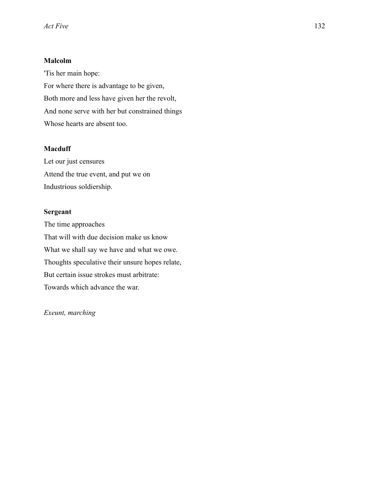# **Malcolm**

'Tis her main hope: For where there is advantage to be given, Both more and less have given her the revolt, And none serve with her but constrained things Whose hearts are absent too.

# **Macduff**

Let our just censures Attend the true event, and put we on Industrious soldiership.

# **Sergeant**

The time approaches That will with due decision make us know What we shall say we have and what we owe. Thoughts speculative their unsure hopes relate, But certain issue strokes must arbitrate: Towards which advance the war.

*Exeunt, marching*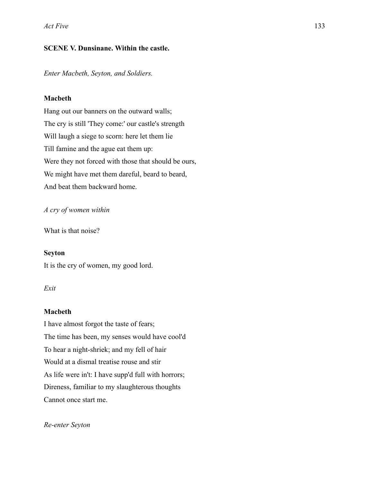# **SCENE V. Dunsinane. Within the castle.**

*Enter Macbeth, Seyton, and Soldiers.* 

# **Macbeth**

Hang out our banners on the outward walls; The cry is still 'They come:' our castle's strength Will laugh a siege to scorn: here let them lie Till famine and the ague eat them up: Were they not forced with those that should be ours, We might have met them dareful, beard to beard, And beat them backward home.

# *A cry of women within*

What is that noise?

## **Seyton**

It is the cry of women, my good lord.

## *Exit*

# **Macbeth**

I have almost forgot the taste of fears; The time has been, my senses would have cool'd To hear a night-shriek; and my fell of hair Would at a dismal treatise rouse and stir As life were in't: I have supp'd full with horrors; Direness, familiar to my slaughterous thoughts Cannot once start me.

## *Re-enter Seyton*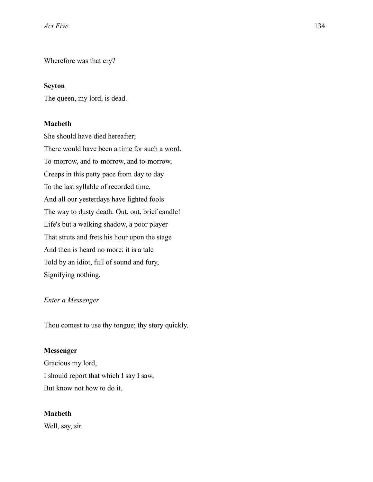Wherefore was that cry?

### **Seyton**

The queen, my lord, is dead.

### **Macbeth**

She should have died hereafter; There would have been a time for such a word. To-morrow, and to-morrow, and to-morrow, Creeps in this petty pace from day to day To the last syllable of recorded time, And all our yesterdays have lighted fools The way to dusty death. Out, out, brief candle! Life's but a walking shadow, a poor player That struts and frets his hour upon the stage And then is heard no more: it is a tale Told by an idiot, full of sound and fury, Signifying nothing.

#### *Enter a Messenger*

Thou comest to use thy tongue; thy story quickly.

#### **Messenger**

Gracious my lord, I should report that which I say I saw, But know not how to do it.

### **Macbeth**

Well, say, sir.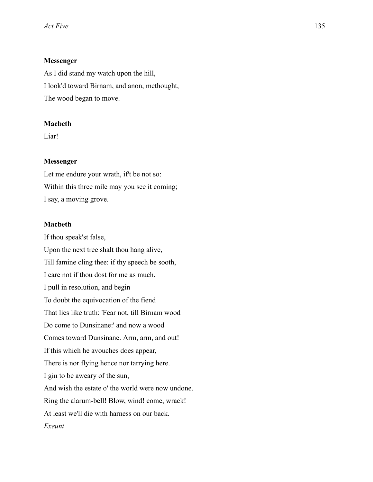### **Messenger**

As I did stand my watch upon the hill, I look'd toward Birnam, and anon, methought, The wood began to move.

## **Macbeth**

Liar!

#### **Messenger**

Let me endure your wrath, if't be not so: Within this three mile may you see it coming; I say, a moving grove.

## **Macbeth**

If thou speak'st false, Upon the next tree shalt thou hang alive, Till famine cling thee: if thy speech be sooth, I care not if thou dost for me as much. I pull in resolution, and begin To doubt the equivocation of the fiend That lies like truth: 'Fear not, till Birnam wood Do come to Dunsinane:' and now a wood Comes toward Dunsinane. Arm, arm, and out! If this which he avouches does appear, There is nor flying hence nor tarrying here. I gin to be aweary of the sun, And wish the estate o' the world were now undone. Ring the alarum-bell! Blow, wind! come, wrack! At least we'll die with harness on our back. *Exeunt*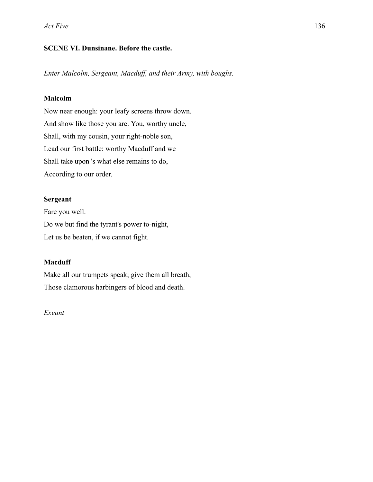# **SCENE VI. Dunsinane. Before the castle.**

*Enter Malcolm, Sergeant, Macduff, and their Army, with boughs.* 

## **Malcolm**

Now near enough: your leafy screens throw down. And show like those you are. You, worthy uncle, Shall, with my cousin, your right-noble son, Lead our first battle: worthy Macduff and we Shall take upon 's what else remains to do, According to our order.

## **Sergeant**

Fare you well. Do we but find the tyrant's power to-night, Let us be beaten, if we cannot fight.

# **Macduff**

Make all our trumpets speak; give them all breath, Those clamorous harbingers of blood and death.

## *Exeunt*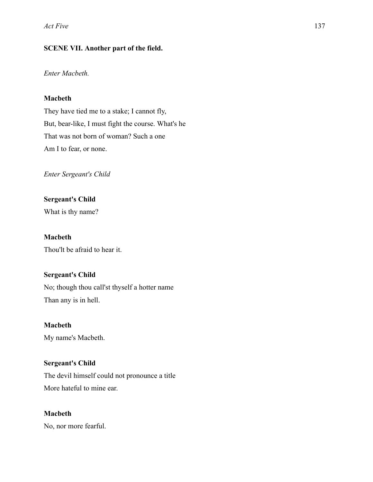# **SCENE VII. Another part of the field.**

# *Enter Macbeth.*

# **Macbeth**

They have tied me to a stake; I cannot fly, But, bear-like, I must fight the course. What's he That was not born of woman? Such a one Am I to fear, or none.

*Enter Sergeant's Child* 

**Sergeant's Child**  What is thy name?

**Macbeth**  Thou'lt be afraid to hear it.

# **Sergeant's Child**

No; though thou call'st thyself a hotter name Than any is in hell.

**Macbeth** 

My name's Macbeth.

# **Sergeant's Child**

The devil himself could not pronounce a title More hateful to mine ear.

**Macbeth** 

No, nor more fearful.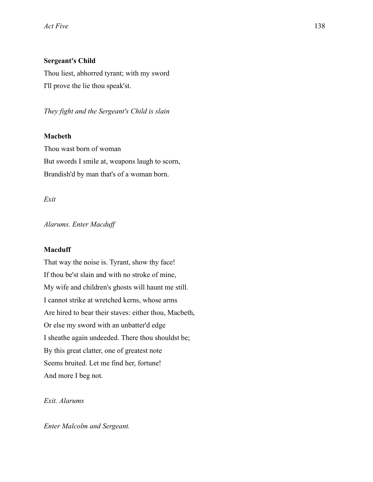## **Sergeant's Child**

Thou liest, abhorred tyrant; with my sword I'll prove the lie thou speak'st.

*They fight and the Sergeant's Child is slain* 

### **Macbeth**

Thou wast born of woman But swords I smile at, weapons laugh to scorn, Brandish'd by man that's of a woman born.

### *Exit*

*Alarums. Enter Macduff* 

#### **Macduff**

That way the noise is. Tyrant, show thy face! If thou be'st slain and with no stroke of mine, My wife and children's ghosts will haunt me still. I cannot strike at wretched kerns, whose arms Are hired to bear their staves: either thou, Macbeth, Or else my sword with an unbatter'd edge I sheathe again undeeded. There thou shouldst be; By this great clatter, one of greatest note Seems bruited. Let me find her, fortune! And more I beg not.

## *Exit. Alarums*

*Enter Malcolm and Sergeant.*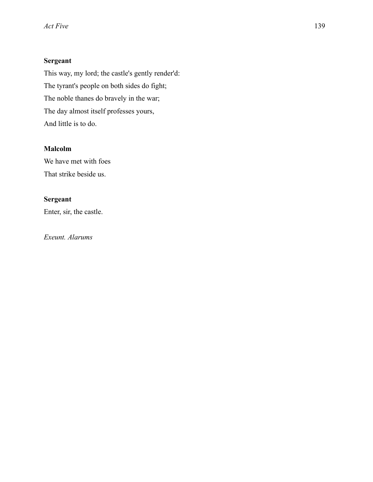# **Sergeant**

This way, my lord; the castle's gently render'd: The tyrant's people on both sides do fight; The noble thanes do bravely in the war; The day almost itself professes yours, And little is to do.

# **Malcolm**

We have met with foes That strike beside us.

# **Sergeant**

Enter, sir, the castle.

*Exeunt. Alarums*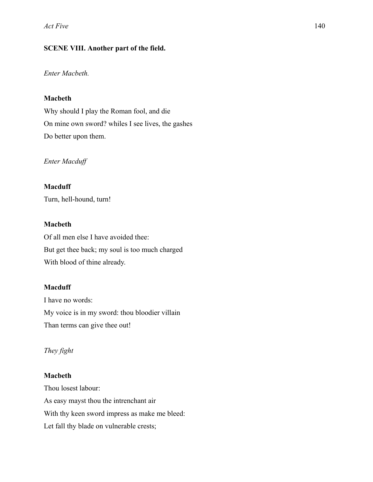# **SCENE VIII. Another part of the field.**

# *Enter Macbeth.*

# **Macbeth**

Why should I play the Roman fool, and die On mine own sword? whiles I see lives, the gashes Do better upon them.

*Enter Macduff* 

# **Macduff**

Turn, hell-hound, turn!

# **Macbeth**

Of all men else I have avoided thee: But get thee back; my soul is too much charged With blood of thine already.

# **Macduff**

I have no words: My voice is in my sword: thou bloodier villain Than terms can give thee out!

# *They fight*

# **Macbeth**

Thou losest labour: As easy mayst thou the intrenchant air With thy keen sword impress as make me bleed: Let fall thy blade on vulnerable crests;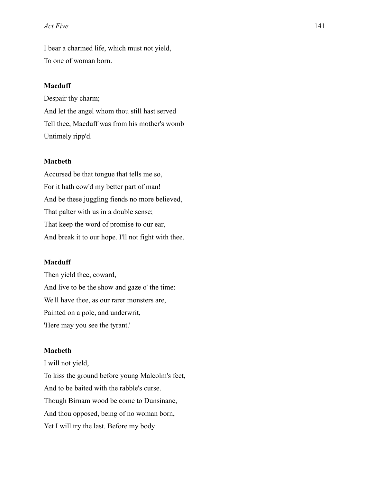#### *Act Five* 141

I bear a charmed life, which must not yield, To one of woman born.

#### **Macduff**

Despair thy charm; And let the angel whom thou still hast served Tell thee, Macduff was from his mother's womb Untimely ripp'd.

### **Macbeth**

Accursed be that tongue that tells me so, For it hath cow'd my better part of man! And be these juggling fiends no more believed, That palter with us in a double sense; That keep the word of promise to our ear, And break it to our hope. I'll not fight with thee.

### **Macduff**

Then yield thee, coward, And live to be the show and gaze o' the time: We'll have thee, as our rarer monsters are, Painted on a pole, and underwrit, 'Here may you see the tyrant.'

#### **Macbeth**

I will not yield, To kiss the ground before young Malcolm's feet, And to be baited with the rabble's curse. Though Birnam wood be come to Dunsinane, And thou opposed, being of no woman born, Yet I will try the last. Before my body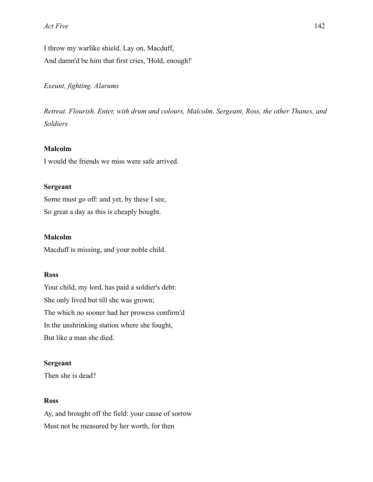I throw my warlike shield. Lay on, Macduff, And damn'd be him that first cries, 'Hold, enough!'

*Exeunt, fighting. Alarums* 

*Retreat. Flourish. Enter, with drum and colours, Malcolm, Sergeant, Ross, the other Thanes, and Soldiers* 

## **Malcolm**

I would the friends we miss were safe arrived.

### **Sergeant**

Some must go off: and yet, by these I see, So great a day as this is cheaply bought.

## **Malcolm**

Macduff is missing, and your noble child.

## **Ross**

Your child, my lord, has paid a soldier's debt: She only lived but till she was grown; The which no sooner had her prowess confirm'd In the unshrinking station where she fought, But like a man she died.

### **Sergeant**

Then she is dead?

#### **Ross**

Ay, and brought off the field: your cause of sorrow Must not be measured by her worth, for then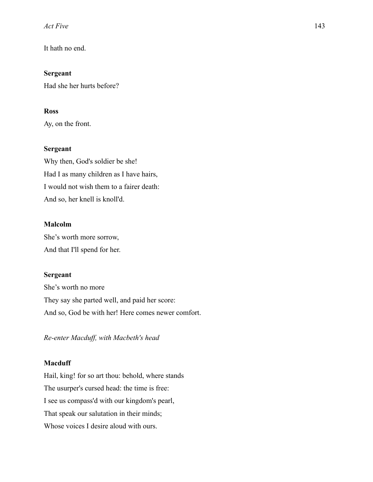*Act Five* 143

It hath no end.

**Sergeant**  Had she her hurts before?

## **Ross**

Ay, on the front.

## **Sergeant**

Why then, God's soldier be she! Had I as many children as I have hairs, I would not wish them to a fairer death: And so, her knell is knoll'd.

## **Malcolm**

She's worth more sorrow, And that I'll spend for her.

## **Sergeant**

She's worth no more They say she parted well, and paid her score: And so, God be with her! Here comes newer comfort.

*Re-enter Macduff, with Macbeth's head* 

## **Macduff**

Hail, king! for so art thou: behold, where stands The usurper's cursed head: the time is free: I see us compass'd with our kingdom's pearl, That speak our salutation in their minds; Whose voices I desire aloud with ours.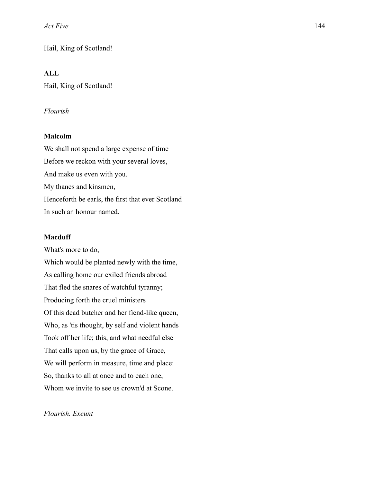Hail, King of Scotland!

## **ALL**

Hail, King of Scotland!

#### *Flourish*

#### **Malcolm**

We shall not spend a large expense of time Before we reckon with your several loves, And make us even with you. My thanes and kinsmen, Henceforth be earls, the first that ever Scotland In such an honour named.

#### **Macduff**

What's more to do, Which would be planted newly with the time, As calling home our exiled friends abroad That fled the snares of watchful tyranny; Producing forth the cruel ministers Of this dead butcher and her fiend-like queen, Who, as 'tis thought, by self and violent hands Took off her life; this, and what needful else That calls upon us, by the grace of Grace, We will perform in measure, time and place: So, thanks to all at once and to each one, Whom we invite to see us crown'd at Scone.

*Flourish. Exeunt*